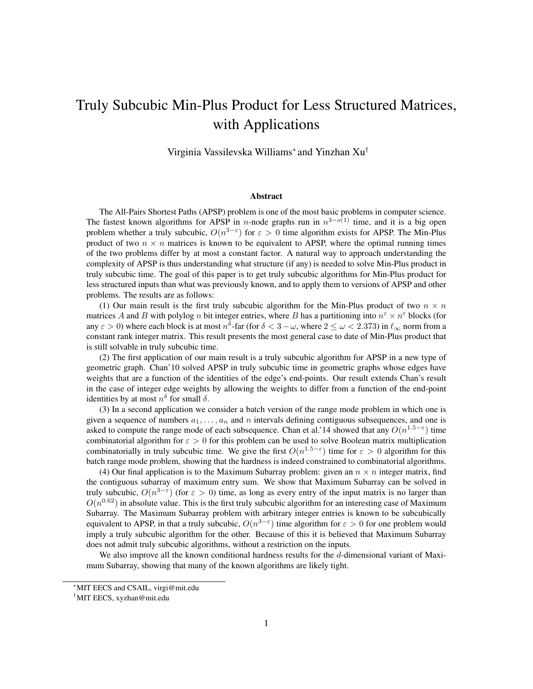# Truly Subcubic Min-Plus Product for Less Structured Matrices, with Applications

Virginia Vassilevska Williams<sup>∗</sup> and Yinzhan Xu†

#### Abstract

The All-Pairs Shortest Paths (APSP) problem is one of the most basic problems in computer science. The fastest known algorithms for APSP in *n*-node graphs run in  $n^{3-o(1)}$  time, and it is a big open problem whether a truly subcubic,  $O(n^{3-\epsilon})$  for  $\epsilon > 0$  time algorithm exists for APSP. The Min-Plus product of two  $n \times n$  matrices is known to be equivalent to APSP, where the optimal running times of the two problems differ by at most a constant factor. A natural way to approach understanding the complexity of APSP is thus understanding what structure (if any) is needed to solve Min-Plus product in truly subcubic time. The goal of this paper is to get truly subcubic algorithms for Min-Plus product for less structured inputs than what was previously known, and to apply them to versions of APSP and other problems. The results are as follows:

(1) Our main result is the first truly subcubic algorithm for the Min-Plus product of two  $n \times n$ matrices A and B with polylog n bit integer entries, where B has a partitioning into  $n^{\epsilon} \times n^{\epsilon}$  blocks (for any  $\varepsilon > 0$ ) where each block is at most  $n^{\delta}$ -far (for  $\delta < 3-\omega$ , where  $2 \le \omega < 2.373$ ) in  $\ell_{\infty}$  norm from a constant rank integer matrix. This result presents the most general case to date of Min-Plus product that is still solvable in truly subcubic time.

(2) The first application of our main result is a truly subcubic algorithm for APSP in a new type of geometric graph. Chan'10 solved APSP in truly subcubic time in geometric graphs whose edges have weights that are a function of the identities of the edge's end-points. Our result extends Chan's result in the case of integer edge weights by allowing the weights to differ from a function of the end-point identities by at most  $n^{\delta}$  for small  $\delta$ .

(3) In a second application we consider a batch version of the range mode problem in which one is given a sequence of numbers  $a_1, \ldots, a_n$  and n intervals defining contiguous subsequences, and one is asked to compute the range mode of each subsequence. Chan et al.'14 showed that any  $O(n^{1.5-\epsilon})$  time combinatorial algorithm for  $\varepsilon > 0$  for this problem can be used to solve Boolean matrix multiplication combinatorially in truly subcubic time. We give the first  $O(n^{1.5-\epsilon})$  time for  $\epsilon > 0$  algorithm for this batch range mode problem, showing that the hardness is indeed constrained to combinatorial algorithms.

(4) Our final application is to the Maximum Subarray problem: given an  $n \times n$  integer matrix, find the contiguous subarray of maximum entry sum. We show that Maximum Subarray can be solved in truly subcubic,  $O(n^{3-\epsilon})$  (for  $\epsilon > 0$ ) time, as long as every entry of the input matrix is no larger than  $O(n^{0.62})$  in absolute value. This is the first truly subcubic algorithm for an interesting case of Maximum Subarray. The Maximum Subarray problem with arbitrary integer entries is known to be subcubically equivalent to APSP, in that a truly subcubic,  $O(n^{3-\epsilon})$  time algorithm for  $\epsilon > 0$  for one problem would imply a truly subcubic algorithm for the other. Because of this it is believed that Maximum Subarray does not admit truly subcubic algorithms, without a restriction on the inputs.

We also improve all the known conditional hardness results for the d-dimensional variant of Maximum Subarray, showing that many of the known algorithms are likely tight.

<sup>∗</sup>MIT EECS and CSAIL, virgi@mit.edu

<sup>†</sup>MIT EECS, xyzhan@mit.edu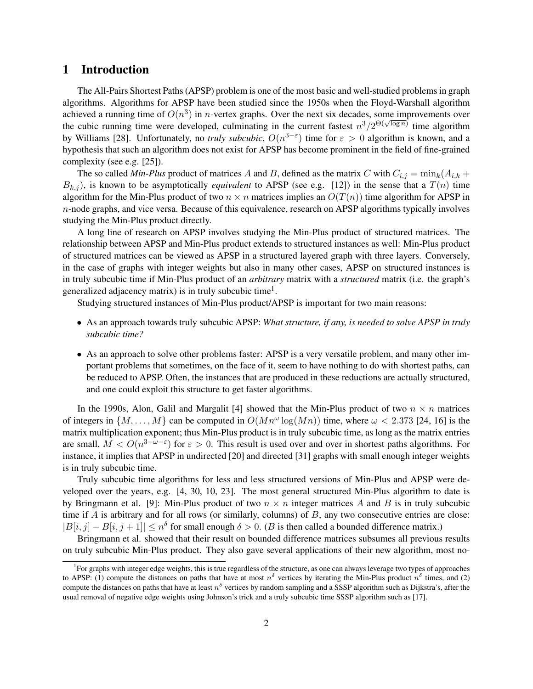### 1 Introduction

The All-Pairs Shortest Paths (APSP) problem is one of the most basic and well-studied problems in graph algorithms. Algorithms for APSP have been studied since the 1950s when the Floyd-Warshall algorithm achieved a running time of  $O(n^3)$  in *n*-vertex graphs. Over the next six decades, some improvements over the cubic running time were developed, culminating in the current fastest  $n^3/2^{\Theta(\sqrt{\log n})}$  time algorithm by Williams [28]. Unfortunately, no *truly subcubic*,  $O(n^{3-\epsilon})$  time for  $\epsilon > 0$  algorithm is known, and a hypothesis that such an algorithm does not exist for APSP has become prominent in the field of fine-grained complexity (see e.g. [25]).

The so called *Min-Plus* product of matrices A and B, defined as the matrix C with  $C_{i,j} = \min_k(A_{i,k} +$  $B_{k,i}$ ), is known to be asymptotically *equivalent* to APSP (see e.g. [12]) in the sense that a  $T(n)$  time algorithm for the Min-Plus product of two  $n \times n$  matrices implies an  $O(T(n))$  time algorithm for APSP in n-node graphs, and vice versa. Because of this equivalence, research on APSP algorithms typically involves studying the Min-Plus product directly.

A long line of research on APSP involves studying the Min-Plus product of structured matrices. The relationship between APSP and Min-Plus product extends to structured instances as well: Min-Plus product of structured matrices can be viewed as APSP in a structured layered graph with three layers. Conversely, in the case of graphs with integer weights but also in many other cases, APSP on structured instances is in truly subcubic time if Min-Plus product of an *arbitrary* matrix with a *structured* matrix (i.e. the graph's generalized adjacency matrix) is in truly subcubic time<sup>1</sup>.

Studying structured instances of Min-Plus product/APSP is important for two main reasons:

- As an approach towards truly subcubic APSP: *What structure, if any, is needed to solve APSP in truly subcubic time?*
- As an approach to solve other problems faster: APSP is a very versatile problem, and many other important problems that sometimes, on the face of it, seem to have nothing to do with shortest paths, can be reduced to APSP. Often, the instances that are produced in these reductions are actually structured, and one could exploit this structure to get faster algorithms.

In the 1990s, Alon, Galil and Margalit [4] showed that the Min-Plus product of two  $n \times n$  matrices of integers in  $\{M, \ldots, M\}$  can be computed in  $O(Mn^{\omega} \log(Mn))$  time, where  $\omega < 2.373$  [24, 16] is the matrix multiplication exponent; thus Min-Plus product is in truly subcubic time, as long as the matrix entries are small,  $M < O(n^{3-\omega-\epsilon})$  for  $\epsilon > 0$ . This result is used over and over in shortest paths algorithms. For instance, it implies that APSP in undirected [20] and directed [31] graphs with small enough integer weights is in truly subcubic time.

Truly subcubic time algorithms for less and less structured versions of Min-Plus and APSP were developed over the years, e.g. [4, 30, 10, 23]. The most general structured Min-Plus algorithm to date is by Bringmann et al. [9]: Min-Plus product of two  $n \times n$  integer matrices A and B is in truly subcubic time if  $A$  is arbitrary and for all rows (or similarly, columns) of  $B$ , any two consecutive entries are close:  $|B[i, j] - B[i, j + 1]| \leq n^{\delta}$  for small enough  $\delta > 0$ . (*B* is then called a bounded difference matrix.)

Bringmann et al. showed that their result on bounded difference matrices subsumes all previous results on truly subcubic Min-Plus product. They also gave several applications of their new algorithm, most no-

<sup>&</sup>lt;sup>1</sup>For graphs with integer edge weights, this is true regardless of the structure, as one can always leverage two types of approaches to APSP: (1) compute the distances on paths that have at most  $n^{\delta}$  vertices by iterating the Min-Plus product  $n^{\delta}$  times, and (2) compute the distances on paths that have at least  $n^{\delta}$  vertices by random sampling and a SSSP algorithm such as Dijkstra's, after the usual removal of negative edge weights using Johnson's trick and a truly subcubic time SSSP algorithm such as [17].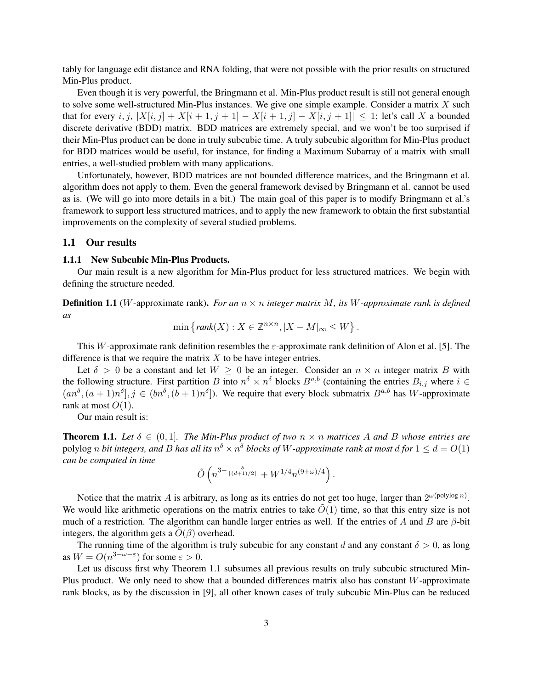tably for language edit distance and RNA folding, that were not possible with the prior results on structured Min-Plus product.

Even though it is very powerful, the Bringmann et al. Min-Plus product result is still not general enough to solve some well-structured Min-Plus instances. We give one simple example. Consider a matrix  $X$  such that for every i, j,  $|X[i, j] + X[i + 1, j + 1] - X[i + 1, j] - X[i, j + 1]| \leq 1$ ; let's call X a bounded discrete derivative (BDD) matrix. BDD matrices are extremely special, and we won't be too surprised if their Min-Plus product can be done in truly subcubic time. A truly subcubic algorithm for Min-Plus product for BDD matrices would be useful, for instance, for finding a Maximum Subarray of a matrix with small entries, a well-studied problem with many applications.

Unfortunately, however, BDD matrices are not bounded difference matrices, and the Bringmann et al. algorithm does not apply to them. Even the general framework devised by Bringmann et al. cannot be used as is. (We will go into more details in a bit.) The main goal of this paper is to modify Bringmann et al.'s framework to support less structured matrices, and to apply the new framework to obtain the first substantial improvements on the complexity of several studied problems.

#### 1.1 Our results

#### 1.1.1 New Subcubic Min-Plus Products.

Our main result is a new algorithm for Min-Plus product for less structured matrices. We begin with defining the structure needed.

**Definition 1.1** (W-approximate rank). *For an*  $n \times n$  *integer matrix* M, *its* W-approximate rank is defined *as*

$$
\min \left\{ rank(X) : X \in \mathbb{Z}^{n \times n}, |X - M|_{\infty} \le W \right\}.
$$

This W-approximate rank definition resembles the  $\varepsilon$ -approximate rank definition of Alon et al. [5]. The difference is that we require the matrix  $X$  to be have integer entries.

Let  $\delta > 0$  be a constant and let  $W \ge 0$  be an integer. Consider an  $n \times n$  integer matrix B with the following structure. First partition B into  $n^{\delta} \times n^{\delta}$  blocks  $B^{a,b}$  (containing the entries  $B_{i,j}$  where  $i \in$  $(an^{\delta}, (a+1)n^{\delta}], j \in (bn^{\delta}, (b+1)n^{\delta}].$  We require that every block submatrix  $B^{a,b}$  has W-approximate rank at most  $O(1)$ .

Our main result is:

**Theorem 1.1.** Let  $\delta \in (0,1]$ . The Min-Plus product of two  $n \times n$  matrices A and B whose entries are polylog  $n$  *bit integers, and B has all its*  $n^{\delta}\times n^{\delta}$  *blocks of W-approximate rank at most*  $d$  *for*  $1\leq d=O(1)$ *can be computed in time*

$$
\tilde{O}\left(n^{3-\frac{\delta}{\lfloor(d+1)/2\rfloor}}+W^{1/4}n^{(9+\omega)/4}\right).
$$

Notice that the matrix A is arbitrary, as long as its entries do not get too huge, larger than  $2^{\omega(\text{polylog } n)}$ . We would like arithmetic operations on the matrix entries to take  $O(1)$  time, so that this entry size is not much of a restriction. The algorithm can handle larger entries as well. If the entries of A and B are  $\beta$ -bit integers, the algorithm gets a  $O(\beta)$  overhead.

The running time of the algorithm is truly subcubic for any constant d and any constant  $\delta > 0$ , as long as  $W = O(n^{3-\omega-\epsilon})$  for some  $\varepsilon > 0$ .

Let us discuss first why Theorem 1.1 subsumes all previous results on truly subcubic structured Min-Plus product. We only need to show that a bounded differences matrix also has constant W-approximate rank blocks, as by the discussion in [9], all other known cases of truly subcubic Min-Plus can be reduced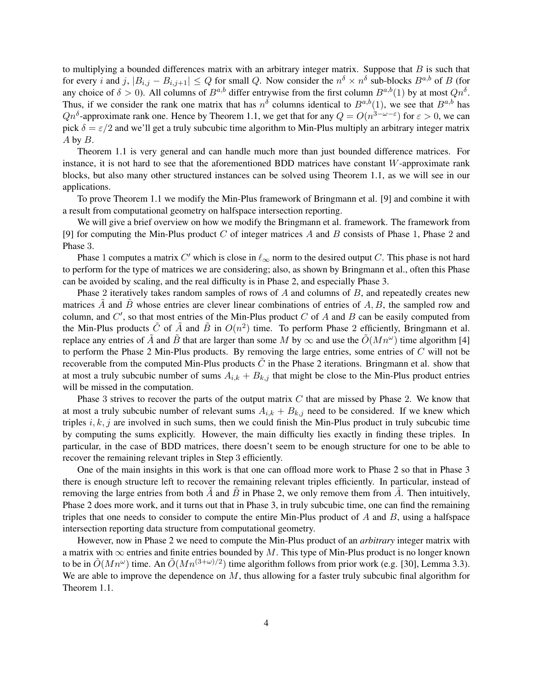to multiplying a bounded differences matrix with an arbitrary integer matrix. Suppose that  $B$  is such that for every i and j,  $|B_{i,j} - B_{i,j+1}| \leq Q$  for small Q. Now consider the  $n^{\delta} \times n^{\delta}$  sub-blocks  $B^{a,b}$  of B (for any choice of  $\delta > 0$ ). All columns of  $B^{a,b}$  differ entrywise from the first column  $B^{a,b}(1)$  by at most  $Qn^{\delta}$ . Thus, if we consider the rank one matrix that has  $n^{\delta}$  columns identical to  $B^{a,b}(1)$ , we see that  $B^{a,b}$  has  $Qn^{\delta}$ -approximate rank one. Hence by Theorem 1.1, we get that for any  $Q = O(n^{3-\omega-\epsilon})$  for  $\varepsilon > 0$ , we can pick  $\delta = \varepsilon/2$  and we'll get a truly subcubic time algorithm to Min-Plus multiply an arbitrary integer matrix A by B.

Theorem 1.1 is very general and can handle much more than just bounded difference matrices. For instance, it is not hard to see that the aforementioned BDD matrices have constant  $W$ -approximate rank blocks, but also many other structured instances can be solved using Theorem 1.1, as we will see in our applications.

To prove Theorem 1.1 we modify the Min-Plus framework of Bringmann et al. [9] and combine it with a result from computational geometry on halfspace intersection reporting.

We will give a brief overview on how we modify the Bringmann et al. framework. The framework from [9] for computing the Min-Plus product  $C$  of integer matrices  $A$  and  $B$  consists of Phase 1, Phase 2 and Phase 3.

Phase 1 computes a matrix C' which is close in  $\ell_{\infty}$  norm to the desired output C. This phase is not hard to perform for the type of matrices we are considering; also, as shown by Bringmann et al., often this Phase can be avoided by scaling, and the real difficulty is in Phase 2, and especially Phase 3.

Phase 2 iteratively takes random samples of rows of  $A$  and columns of  $B$ , and repeatedly creates new matrices A and B whose entries are clever linear combinations of entries of  $A, B$ , the sampled row and column, and  $C'$ , so that most entries of the Min-Plus product  $C$  of  $A$  and  $B$  can be easily computed from the Min-Plus products  $\tilde{C}$  of  $\tilde{A}$  and  $\tilde{B}$  in  $O(n^2)$  time. To perform Phase 2 efficiently, Bringmann et al. replace any entries of  $\tilde{A}$  and  $\tilde{B}$  that are larger than some M by  $\infty$  and use the  $\tilde{O}(Mn^{\omega})$  time algorithm [4] to perform the Phase 2 Min-Plus products. By removing the large entries, some entries of  $C$  will not be recoverable from the computed Min-Plus products  $\ddot{C}$  in the Phase 2 iterations. Bringmann et al. show that at most a truly subcubic number of sums  $A_{i,k} + B_{k,j}$  that might be close to the Min-Plus product entries will be missed in the computation.

Phase 3 strives to recover the parts of the output matrix  $C$  that are missed by Phase 2. We know that at most a truly subcubic number of relevant sums  $A_{i,k} + B_{k,j}$  need to be considered. If we knew which triples  $i, k, j$  are involved in such sums, then we could finish the Min-Plus product in truly subcubic time by computing the sums explicitly. However, the main difficulty lies exactly in finding these triples. In particular, in the case of BDD matrices, there doesn't seem to be enough structure for one to be able to recover the remaining relevant triples in Step 3 efficiently.

One of the main insights in this work is that one can offload more work to Phase 2 so that in Phase 3 there is enough structure left to recover the remaining relevant triples efficiently. In particular, instead of removing the large entries from both A and B in Phase 2, we only remove them from A. Then intuitively, Phase 2 does more work, and it turns out that in Phase 3, in truly subcubic time, one can find the remaining triples that one needs to consider to compute the entire Min-Plus product of  $A$  and  $B$ , using a halfspace intersection reporting data structure from computational geometry.

However, now in Phase 2 we need to compute the Min-Plus product of an *arbitrary* integer matrix with a matrix with  $\infty$  entries and finite entries bounded by M. This type of Min-Plus product is no longer known to be in  $\tilde{O}(Mn^{\omega})$  time. An  $\tilde{O}(Mn^{(3+\omega)/2})$  time algorithm follows from prior work (e.g. [30], Lemma 3.3). We are able to improve the dependence on  $M$ , thus allowing for a faster truly subcubic final algorithm for Theorem 1.1.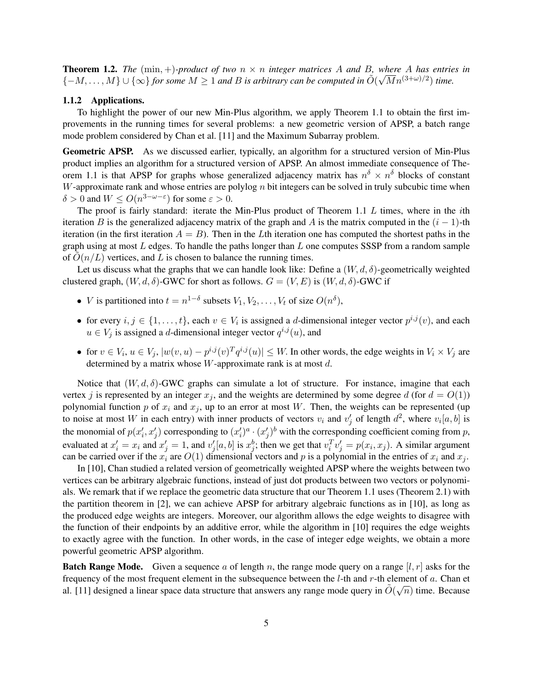**Theorem 1.2.** The  $(\min, +)$ -product of two  $n \times n$  integer matrices A and B, where A has entries in  ${-M, \ldots, M} \cup {\infty}$  *for some*  $M \geq 1$  *and B is arbitrary can be computed in*  $\tilde{O}(\sqrt{M}n^{(3+\omega)/2})$  *time.* 

#### 1.1.2 Applications.

To highlight the power of our new Min-Plus algorithm, we apply Theorem 1.1 to obtain the first improvements in the running times for several problems: a new geometric version of APSP, a batch range mode problem considered by Chan et al. [11] and the Maximum Subarray problem.

Geometric APSP. As we discussed earlier, typically, an algorithm for a structured version of Min-Plus product implies an algorithm for a structured version of APSP. An almost immediate consequence of Theorem 1.1 is that APSP for graphs whose generalized adjacency matrix has  $n^{\delta} \times n^{\delta}$  blocks of constant W-approximate rank and whose entries are polylog  $n$  bit integers can be solved in truly subcubic time when  $\delta > 0$  and  $W \le O(n^{3-\omega-\epsilon})$  for some  $\varepsilon > 0$ .

The proof is fairly standard: iterate the Min-Plus product of Theorem 1.1  $L$  times, where in the *i*th iteration B is the generalized adjacency matrix of the graph and A is the matrix computed in the  $(i - 1)$ -th iteration (in the first iteration  $A = B$ ). Then in the Lth iteration one has computed the shortest paths in the graph using at most  $L$  edges. To handle the paths longer than  $L$  one computes SSSP from a random sample of  $O(n/L)$  vertices, and L is chosen to balance the running times.

Let us discuss what the graphs that we can handle look like: Define a  $(W, d, \delta)$ -geometrically weighted clustered graph,  $(W, d, \delta)$ -GWC for short as follows.  $G = (V, E)$  is  $(W, d, \delta)$ -GWC if

- *V* is partitioned into  $t = n^{1-\delta}$  subsets  $V_1, V_2, \dots, V_t$  of size  $O(n^{\delta})$ ,
- for every  $i, j \in \{1, ..., t\}$ , each  $v \in V_i$  is assigned a *d*-dimensional integer vector  $p^{i,j}(v)$ , and each  $u \in V_j$  is assigned a d-dimensional integer vector  $q^{i,j}(u)$ , and
- for  $v \in V_i$ ,  $u \in V_j$ ,  $|w(v, u) p^{i,j}(v)^T q^{i,j}(u)| \leq W$ . In other words, the edge weights in  $V_i \times V_j$  are determined by a matrix whose  $W$ -approximate rank is at most  $d$ .

Notice that  $(W, d, \delta)$ -GWC graphs can simulate a lot of structure. For instance, imagine that each vertex j is represented by an integer  $x_j$ , and the weights are determined by some degree d (for  $d = O(1)$ ) polynomial function p of  $x_i$  and  $x_j$ , up to an error at most W. Then, the weights can be represented (up to noise at most W in each entry) with inner products of vectors  $v_i$  and  $v'_j$  of length  $d^2$ , where  $v_i[a, b]$  is the monomial of  $p(x'_i, x'_j)$  corresponding to  $(x'_i)^a \cdot (x'_j)^b$  with the corresponding coefficient coming from p, evaluated at  $x'_i = x_i$  and  $x'_j = 1$ , and  $v'_j[a, b]$  is  $x_j^b$ ; then we get that  $v_i^T v'_j = p(x_i, x_j)$ . A similar argument can be carried over if the  $x_i$  are  $O(1)$  dimensional vectors and p is a polynomial in the entries of  $x_i$  and  $x_j$ .

In [10], Chan studied a related version of geometrically weighted APSP where the weights between two vertices can be arbitrary algebraic functions, instead of just dot products between two vectors or polynomials. We remark that if we replace the geometric data structure that our Theorem 1.1 uses (Theorem 2.1) with the partition theorem in [2], we can achieve APSP for arbitrary algebraic functions as in [10], as long as the produced edge weights are integers. Moreover, our algorithm allows the edge weights to disagree with the function of their endpoints by an additive error, while the algorithm in [10] requires the edge weights to exactly agree with the function. In other words, in the case of integer edge weights, we obtain a more powerful geometric APSP algorithm.

**Batch Range Mode.** Given a sequence a of length n, the range mode query on a range  $[l, r]$  asks for the frequency of the most frequent element in the subsequence between the l-th and r-th element of a. Chan et al. [11] designed a linear space data structure that answers any range mode query in  $\tilde{O}(\sqrt{n})$  time. Because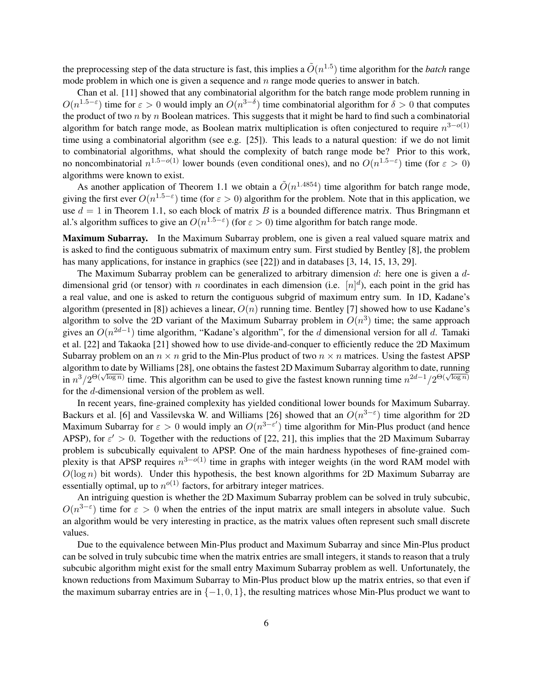the preprocessing step of the data structure is fast, this implies a  $\tilde{O}(n^{1.5})$  time algorithm for the *batch* range mode problem in which one is given a sequence and  $n$  range mode queries to answer in batch.

Chan et al. [11] showed that any combinatorial algorithm for the batch range mode problem running in  $O(n^{1.5-\epsilon})$  time for  $\epsilon > 0$  would imply an  $O(n^{3-\delta})$  time combinatorial algorithm for  $\delta > 0$  that computes the product of two n by n Boolean matrices. This suggests that it might be hard to find such a combinatorial algorithm for batch range mode, as Boolean matrix multiplication is often conjectured to require  $n^{3-o(1)}$ time using a combinatorial algorithm (see e.g. [25]). This leads to a natural question: if we do not limit to combinatorial algorithms, what should the complexity of batch range mode be? Prior to this work, no noncombinatorial  $n^{1.5-o(1)}$  lower bounds (even conditional ones), and no  $O(n^{1.5-\epsilon})$  time (for  $\epsilon > 0$ ) algorithms were known to exist.

As another application of Theorem 1.1 we obtain a  $\tilde{O}(n^{1.4854})$  time algorithm for batch range mode, giving the first ever  $O(n^{1.5-\epsilon})$  time (for  $\epsilon > 0$ ) algorithm for the problem. Note that in this application, we use  $d = 1$  in Theorem 1.1, so each block of matrix B is a bounded difference matrix. Thus Bringmann et al.'s algorithm suffices to give an  $O(n^{1.5-\epsilon})$  (for  $\epsilon > 0$ ) time algorithm for batch range mode.

Maximum Subarray. In the Maximum Subarray problem, one is given a real valued square matrix and is asked to find the contiguous submatrix of maximum entry sum. First studied by Bentley [8], the problem has many applications, for instance in graphics (see [22]) and in databases [3, 14, 15, 13, 29].

The Maximum Subarray problem can be generalized to arbitrary dimension  $d$ : here one is given a  $d$ dimensional grid (or tensor) with n coordinates in each dimension (i.e.  $[n]^d$ ), each point in the grid has a real value, and one is asked to return the contiguous subgrid of maximum entry sum. In 1D, Kadane's algorithm (presented in [8]) achieves a linear,  $O(n)$  running time. Bentley [7] showed how to use Kadane's algorithm to solve the 2D variant of the Maximum Subarray problem in  $O(n^3)$  time; the same approach gives an  $O(n^{2d-1})$  time algorithm, "Kadane's algorithm", for the d dimensional version for all d. Tamaki et al. [22] and Takaoka [21] showed how to use divide-and-conquer to efficiently reduce the 2D Maximum Subarray problem on an  $n \times n$  grid to the Min-Plus product of two  $n \times n$  matrices. Using the fastest APSP algorithm to date by Williams [28], one obtains the fastest 2D Maximum Subarray algorithm to date, running  $\sin n^3/2^{\Theta(\sqrt{\log n})}$  time. This algorithm can be used to give the fastest known running time  $n^{2d-1}/2^{\Theta(\sqrt{\log n})}$ for the d-dimensional version of the problem as well.

In recent years, fine-grained complexity has yielded conditional lower bounds for Maximum Subarray. Backurs et al. [6] and Vassilevska W. and Williams [26] showed that an  $O(n^{3-\epsilon})$  time algorithm for 2D Maximum Subarray for  $\varepsilon > 0$  would imply an  $O(n^{3-\varepsilon'})$  time algorithm for Min-Plus product (and hence APSP), for  $\varepsilon' > 0$ . Together with the reductions of [22, 21], this implies that the 2D Maximum Subarray problem is subcubically equivalent to APSP. One of the main hardness hypotheses of fine-grained complexity is that APSP requires  $n^{3-o(1)}$  time in graphs with integer weights (in the word RAM model with  $O(\log n)$  bit words). Under this hypothesis, the best known algorithms for 2D Maximum Subarray are essentially optimal, up to  $n^{o(1)}$  factors, for arbitrary integer matrices.

An intriguing question is whether the 2D Maximum Subarray problem can be solved in truly subcubic,  $O(n^{3-\epsilon})$  time for  $\epsilon > 0$  when the entries of the input matrix are small integers in absolute value. Such an algorithm would be very interesting in practice, as the matrix values often represent such small discrete values.

Due to the equivalence between Min-Plus product and Maximum Subarray and since Min-Plus product can be solved in truly subcubic time when the matrix entries are small integers, it stands to reason that a truly subcubic algorithm might exist for the small entry Maximum Subarray problem as well. Unfortunately, the known reductions from Maximum Subarray to Min-Plus product blow up the matrix entries, so that even if the maximum subarray entries are in  $\{-1, 0, 1\}$ , the resulting matrices whose Min-Plus product we want to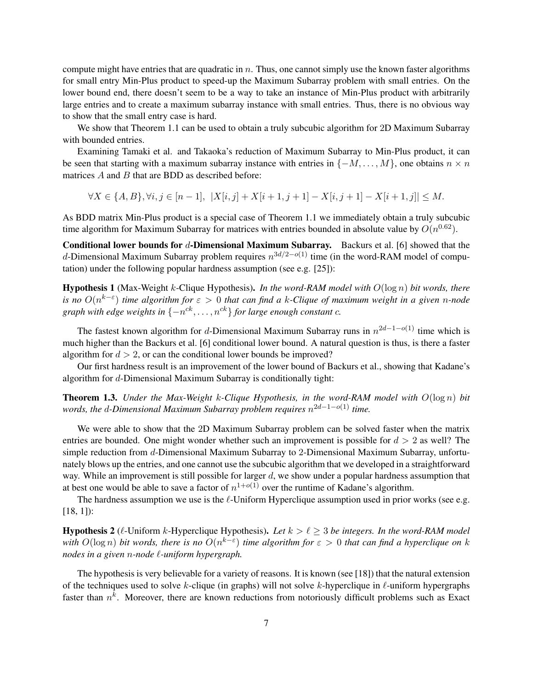compute might have entries that are quadratic in  $n$ . Thus, one cannot simply use the known faster algorithms for small entry Min-Plus product to speed-up the Maximum Subarray problem with small entries. On the lower bound end, there doesn't seem to be a way to take an instance of Min-Plus product with arbitrarily large entries and to create a maximum subarray instance with small entries. Thus, there is no obvious way to show that the small entry case is hard.

We show that Theorem 1.1 can be used to obtain a truly subcubic algorithm for 2D Maximum Subarray with bounded entries.

Examining Tamaki et al. and Takaoka's reduction of Maximum Subarray to Min-Plus product, it can be seen that starting with a maximum subarray instance with entries in  $\{-M, \ldots, M\}$ , one obtains  $n \times n$ matrices  $A$  and  $B$  that are BDD as described before:

 $\forall X \in \{A, B\}, \forall i, j \in [n-1], \ |X[i, j] + X[i+1, j+1] - X[i, j+1] - X[i+1, j]| \leq M.$ 

As BDD matrix Min-Plus product is a special case of Theorem 1.1 we immediately obtain a truly subcubic time algorithm for Maximum Subarray for matrices with entries bounded in absolute value by  $O(n^{0.62})$ .

Conditional lower bounds for d-Dimensional Maximum Subarray. Backurs et al. [6] showed that the d-Dimensional Maximum Subarray problem requires  $n^{3d/2-o(1)}$  time (in the word-RAM model of computation) under the following popular hardness assumption (see e.g. [25]):

Hypothesis 1 (Max-Weight k-Clique Hypothesis). *In the word-RAM model with* O(log n) *bit words, there is no* O(n k−ε ) *time algorithm for* ε > 0 *that can find a* k*-Clique of maximum weight in a given* n*-node* graph with edge weights in  $\{-n^{ck}, \ldots, n^{ck}\}$  for large enough constant  $c$ .

The fastest known algorithm for d-Dimensional Maximum Subarray runs in  $n^{2d-1-o(1)}$  time which is much higher than the Backurs et al. [6] conditional lower bound. A natural question is thus, is there a faster algorithm for  $d > 2$ , or can the conditional lower bounds be improved?

Our first hardness result is an improvement of the lower bound of Backurs et al., showing that Kadane's algorithm for d-Dimensional Maximum Subarray is conditionally tight:

Theorem 1.3. *Under the Max-Weight* k*-Clique Hypothesis, in the word-RAM model with* O(log n) *bit words, the* d*-Dimensional Maximum Subarray problem requires* n <sup>2</sup>d−1−o(1) *time.*

We were able to show that the 2D Maximum Subarray problem can be solved faster when the matrix entries are bounded. One might wonder whether such an improvement is possible for  $d > 2$  as well? The simple reduction from d-Dimensional Maximum Subarray to 2-Dimensional Maximum Subarray, unfortunately blows up the entries, and one cannot use the subcubic algorithm that we developed in a straightforward way. While an improvement is still possible for larger d, we show under a popular hardness assumption that at best one would be able to save a factor of  $n^{1+o(1)}$  over the runtime of Kadane's algorithm.

The hardness assumption we use is the  $\ell$ -Uniform Hyperclique assumption used in prior works (see e.g. [18, 1]):

**Hypothesis 2** ( $\ell$ -Uniform k-Hyperclique Hypothesis). Let  $k > \ell \geq 3$  be integers. In the word-RAM model with  $O(\log n)$  bit words, there is no  $O(n^{k-\varepsilon})$  time algorithm for  $\varepsilon > 0$  that can find a hyperclique on k *nodes in a given n-node*  $\ell$ *-uniform hypergraph.* 

The hypothesis is very believable for a variety of reasons. It is known (see [18]) that the natural extension of the techniques used to solve k-clique (in graphs) will not solve k-hyperclique in  $\ell$ -uniform hypergraphs faster than  $n^k$ . Moreover, there are known reductions from notoriously difficult problems such as Exact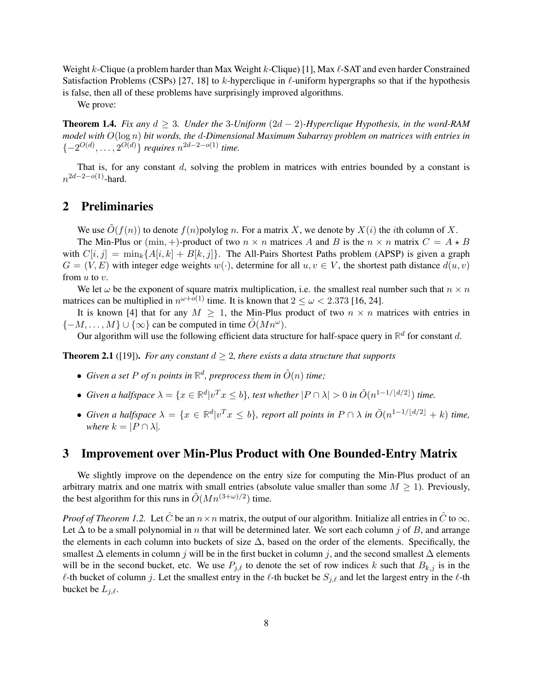Weight  $k$ -Clique (a problem harder than Max Weight  $k$ -Clique) [1], Max  $\ell$ -SAT and even harder Constrained Satisfaction Problems (CSPs) [27, 18] to k-hyperclique in  $\ell$ -uniform hypergraphs so that if the hypothesis is false, then all of these problems have surprisingly improved algorithms.

We prove:

**Theorem 1.4.** *Fix any*  $d \geq 3$ *. Under the* 3*-Uniform*  $(2d - 2)$ *-Hyperclique Hypothesis, in the word-RAM model with* O(log n) *bit words, the* d*-Dimensional Maximum Subarray problem on matrices with entries in*  $\{-2^{O(d)}, \ldots, 2^{O(d)}\}$  *requires*  $n^{2d-2-o(1)}$  *time.* 

That is, for any constant d, solving the problem in matrices with entries bounded by a constant is  $n^{2d-2-o(1)}$ -hard.

# 2 Preliminaries

We use  $\tilde{O}(f(n))$  to denote  $f(n)$  polylog n. For a matrix X, we denote by  $X(i)$  the *i*th column of X. The Min-Plus or  $(\min, +)$ -product of two  $n \times n$  matrices A and B is the  $n \times n$  matrix  $C = A \star B$ with  $C[i, j] = \min_k \{A[i, k] + B[k, j]\}.$  The All-Pairs Shortest Paths problem (APSP) is given a graph  $G = (V, E)$  with integer edge weights  $w(\cdot)$ , determine for all  $u, v \in V$ , the shortest path distance  $d(u, v)$ from u to v.

We let  $\omega$  be the exponent of square matrix multiplication, i.e. the smallest real number such that  $n \times n$ matrices can be multiplied in  $n^{\omega+o(1)}$  time. It is known that  $2 \leq \omega < 2.373$  [16, 24].

It is known [4] that for any  $M \geq 1$ , the Min-Plus product of two  $n \times n$  matrices with entries in  $\{-M, \ldots, M\} \cup \{\infty\}$  can be computed in time  $\tilde{O}(Mn^{\omega})$ .

Our algorithm will use the following efficient data structure for half-space query in  $\mathbb{R}^d$  for constant d.

**Theorem 2.1** ([19]). *For any constant*  $d > 2$ *, there exists a data structure that supports* 

- Given a set P of n points in  $\mathbb{R}^d$ , preprocess them in  $\tilde{O}(n)$  time;
- *Given a halfspace*  $\lambda = \{x \in \mathbb{R}^d | v^T x \leq b\}$ , test whether  $|P \cap \lambda| > 0$  in  $\tilde{O}(n^{1-1/\lfloor d/2 \rfloor})$  time.
- *Given a halfspace*  $\lambda = \{x \in \mathbb{R}^d | v^T x \leq b\}$ , report all points in  $P \cap \lambda$  in  $\tilde{O}(n^{1-1/\lfloor d/2 \rfloor} + k)$  time, *where*  $k = |P \cap \lambda|$ *.*

### 3 Improvement over Min-Plus Product with One Bounded-Entry Matrix

We slightly improve on the dependence on the entry size for computing the Min-Plus product of an arbitrary matrix and one matrix with small entries (absolute value smaller than some  $M \geq 1$ ). Previously, the best algorithm for this runs in  $\tilde{O}(Mn^{(3+\omega)/2})$  time.

*Proof of Theorem 1.2.* Let  $\hat{C}$  be an  $n \times n$  matrix, the output of our algorithm. Initialize all entries in  $\hat{C}$  to  $\infty$ . Let  $\Delta$  to be a small polynomial in n that will be determined later. We sort each column j of B, and arrange the elements in each column into buckets of size  $\Delta$ , based on the order of the elements. Specifically, the smallest  $\Delta$  elements in column j will be in the first bucket in column j, and the second smallest  $\Delta$  elements will be in the second bucket, etc. We use  $P_{i,\ell}$  to denote the set of row indices k such that  $B_{k,j}$  is in the  $\ell$ -th bucket of column j. Let the smallest entry in the  $\ell$ -th bucket be  $S_{j,\ell}$  and let the largest entry in the  $\ell$ -th bucket be  $L_{i,\ell}$ .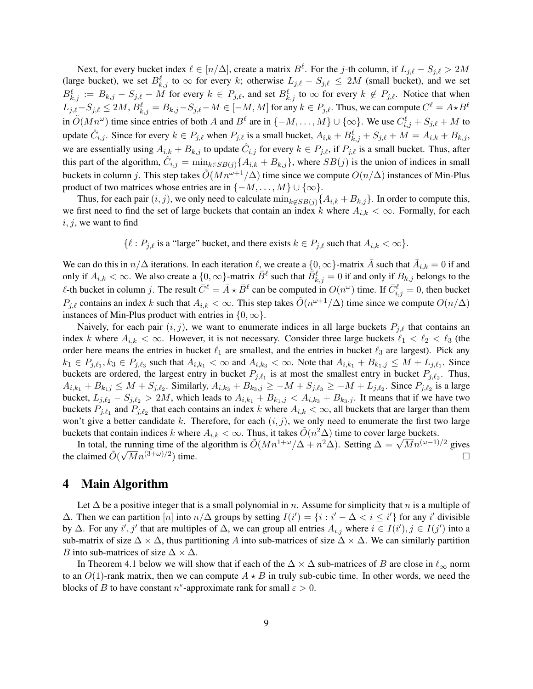Next, for every bucket index  $\ell \in [n/\Delta]$ , create a matrix  $B^{\ell}$ . For the j-th column, if  $L_{j,\ell} - S_{j,\ell} > 2M$ (large bucket), we set  $B_{k,j}^{\ell}$  to  $\infty$  for every k; otherwise  $L_{j,\ell} - S_{j,\ell} \leq 2M$  (small bucket), and we set  $B_{k,j}^{\ell} := B_{k,j} - S_{j,\ell} - M$  for every  $k \in P_{j,\ell}$ , and set  $B_{k,j}^{\ell}$  to  $\infty$  for every  $k \notin P_{j,\ell}$ . Notice that when  $L_{j,\ell}-S_{j,\ell} \le 2M,$   $B_{k,j}^\ell=B_{k,j}-S_{j,\ell}-M \in [-M,M]$  for any  $k \in P_{j,\ell}.$  Thus, we can compute  $C^\ell=A\star B^\ell$ in  $\tilde{O}(Mn^{\omega})$  time since entries of both A and  $B^{\ell}$  are in  $\{-M,\ldots,M\}\cup\{\infty\}$ . We use  $C_{i,j}^{\ell} + S_{j,\ell} + M$  to update  $\hat{C}_{i,j}$ . Since for every  $k \in P_{j,\ell}$  when  $P_{j,\ell}$  is a small bucket,  $A_{i,k} + B_{k,j}^{\ell} + S_{j,\ell} + M = A_{i,k} + B_{k,j}$ , we are essentially using  $A_{i,k} + B_{k,j}$  to update  $\hat{C}_{i,j}$  for every  $k \in P_{j,\ell}$ , if  $P_{j,\ell}$  is a small bucket. Thus, after this part of the algorithm,  $\hat{C}_{i,j} = \min_{k \in SB(j)} \{A_{i,k} + B_{k,j}\}\$ , where  $SB(j)$  is the union of indices in small buckets in column j. This step takes  $\tilde{O}(Mn^{\omega+1}/\Delta)$  time since we compute  $O(n/\Delta)$  instances of Min-Plus product of two matrices whose entries are in  $\{-M, \ldots, M\} \cup \{\infty\}.$ 

Thus, for each pair  $(i, j)$ , we only need to calculate  $\min_{k \notin SB(j)} \{A_{i,k} + B_{k,j}\}.$  In order to compute this, we first need to find the set of large buckets that contain an index k where  $A_{i,k} < \infty$ . Formally, for each  $i, j$ , we want to find

 $\{\ell : P_{i,\ell}$  is a "large" bucket, and there exists  $k \in P_{i,\ell}$  such that  $A_{i,k} < \infty\}.$ 

We can do this in  $n/\Delta$  iterations. In each iteration  $\ell$ , we create a  $\{0,\infty\}$ -matrix  $\bar{A}$  such that  $\bar{A}_{i,k} = 0$  if and only if  $A_{i,k} < \infty$ . We also create a  $\{0,\infty\}$ -matrix  $\bar{B}^{\ell}$  such that  $\bar{B}^{\ell}_{k,j} = 0$  if and only if  $B_{k,j}$  belongs to the  $\ell$ -th bucket in column j. The result  $\bar{C}^{\ell} = \bar{A} \star \bar{B}^{\ell}$  can be computed in  $O(n^{\omega})$  time. If  $\bar{C}^{\ell}_{i,j} = 0$ , then bucket  $P_{j,\ell}$  contains an index k such that  $A_{i,k} < \infty$ . This step takes  $\tilde{O}(n^{\omega+1}/\Delta)$  time since we compute  $O(n/\Delta)$ instances of Min-Plus product with entries in  $\{0, \infty\}$ .

Naively, for each pair  $(i, j)$ , we want to enumerate indices in all large buckets  $P_{i,\ell}$  that contains an index k where  $A_{i,k} < \infty$ . However, it is not necessary. Consider three large buckets  $\ell_1 < \ell_2 < \ell_3$  (the order here means the entries in bucket  $\ell_1$  are smallest, and the entries in bucket  $\ell_3$  are largest). Pick any  $k_1 \in P_{j,\ell_1}, k_3 \in P_{j,\ell_3}$  such that  $A_{i,k_1} < \infty$  and  $A_{i,k_3} < \infty$ . Note that  $A_{i,k_1} + B_{k_1,j} \le M + L_{j,\ell_1}$ . Since buckets are ordered, the largest entry in bucket  $P_{j,\ell_1}$  is at most the smallest entry in bucket  $P_{j,\ell_2}$ . Thus,  $A_{i,k_1} + B_{k_1j} \le M + S_{j,\ell_2}$ . Similarly,  $A_{i,k_3} + B_{k_3,j} \ge -M + S_{j,\ell_3} \ge -M + L_{j,\ell_2}$ . Since  $P_{j,\ell_2}$  is a large bucket,  $L_{j,\ell_2} - S_{j,\ell_2} > 2M$ , which leads to  $A_{i,k_1} + B_{k_1,j} < A_{i,k_3} + B_{k_3,j}$ . It means that if we have two buckets  $P_{j,\ell_1}$  and  $P_{j,\ell_2}$  that each contains an index k where  $A_{i,k} < \infty$ , all buckets that are larger than them won't give a better candidate k. Therefore, for each  $(i, j)$ , we only need to enumerate the first two large buckets that contain indices k where  $A_{i,k} < \infty$ . Thus, it takes  $\tilde{O}(n^2\Delta)$  time to cover large buckets.

Rets that contain indices k where  $A_{i,k} < \infty$ . Thus, it takes  $O(n^2\Delta)$  time to cover large buckets.<br>In total, the running time of the algorithm is  $\tilde{O}(Mn^{1+\omega}/\Delta + n^2\Delta)$ . Setting  $\Delta = \sqrt{M}n^{(\omega-1)/2}$  gives the claimed  $\tilde{O}(\sqrt{M}n^{(3+\omega)/2})$ ) time.  $\Box$ 

### 4 Main Algorithm

Let  $\Delta$  be a positive integer that is a small polynomial in n. Assume for simplicity that n is a multiple of  $\Delta$ . Then we can partition [n] into  $n/\Delta$  groups by setting  $I(i') = \{i : i' - \Delta < i \leq i'\}$  for any i' divisible by  $\Delta$ . For any i', j' that are multiples of  $\Delta$ , we can group all entries  $A_{i,j}$  where  $i \in I(i')$ ,  $j \in I(j')$  into a sub-matrix of size  $\Delta \times \Delta$ , thus partitioning A into sub-matrices of size  $\Delta \times \Delta$ . We can similarly partition B into sub-matrices of size  $\Delta \times \Delta$ .

In Theorem 4.1 below we will show that if each of the  $\Delta \times \Delta$  sub-matrices of B are close in  $\ell_{\infty}$  norm to an  $O(1)$ -rank matrix, then we can compute  $A \star B$  in truly sub-cubic time. In other words, we need the blocks of B to have constant  $n^{\varepsilon}$ -approximate rank for small  $\varepsilon > 0$ .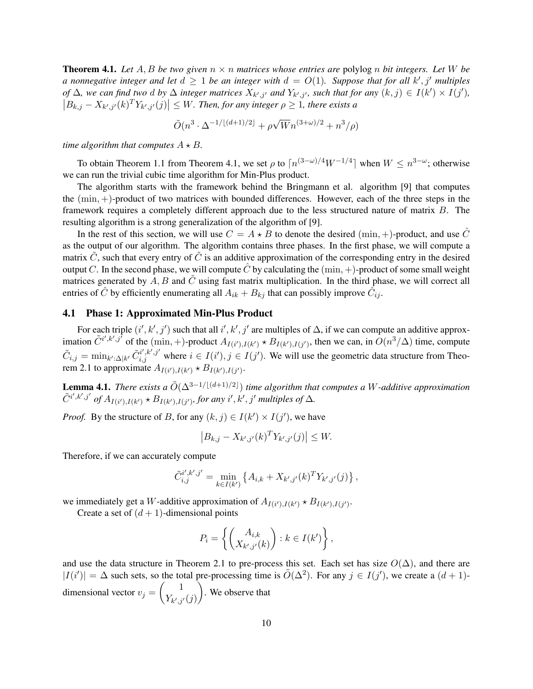**Theorem 4.1.** Let  $A, B$  be two given  $n \times n$  matrices whose entries are polylog n bit integers. Let W be *a* nonnegative integer and let  $d \geq 1$  be an integer with  $d = O(1)$ . Suppose that for all k', j' multiples *of*  $\Delta$ *, we can find two d by*  $\Delta$  *integer matrices*  $X_{k',j'}$  *and*  $Y_{k',j'}$ *, such that for any*  $(k, j) \in I(k') \times I(j')$ *,*  $|B_{k,j} - X_{k',j'}(k)^T Y_{k',j'}(j)| \leq W$ . Then, for any integer  $\rho \geq 1$ , there exists a

$$
\tilde{O}(n^3 \cdot \Delta^{-1/[(d+1)/2]} + \rho \sqrt{W} n^{(3+\omega)/2} + n^3/\rho)
$$

*time algorithm that computes*  $A \star B$ *.* 

To obtain Theorem 1.1 from Theorem 4.1, we set  $\rho$  to  $\lceil n^{(3-\omega)/4}W^{-1/4}\rceil$  when  $W \leq n^{3-\omega}$ ; otherwise we can run the trivial cubic time algorithm for Min-Plus product.

The algorithm starts with the framework behind the Bringmann et al. algorithm [9] that computes the  $(\min, +)$ -product of two matrices with bounded differences. However, each of the three steps in the framework requires a completely different approach due to the less structured nature of matrix B. The resulting algorithm is a strong generalization of the algorithm of [9].

In the rest of this section, we will use  $C = A \star B$  to denote the desired (min, +)-product, and use  $\hat{C}$ as the output of our algorithm. The algorithm contains three phases. In the first phase, we will compute a matrix  $\tilde{C}$ , such that every entry of  $\tilde{C}$  is an additive approximation of the corresponding entry in the desired output C. In the second phase, we will compute  $\hat{C}$  by calculating the  $(\min, +)$ -product of some small weight matrices generated by  $A, B$  and  $\tilde{C}$  using fast matrix multiplication. In the third phase, we will correct all entries of  $\hat{C}$  by efficiently enumerating all  $A_{ik} + B_{kj}$  that can possibly improve  $\tilde{C}_{ij}$ .

#### 4.1 Phase 1: Approximated Min-Plus Product

For each triple  $(i', k', j')$  such that all  $i', k', j'$  are multiples of  $\Delta$ , if we can compute an additive approximation  $\tilde{C}^{i',k',j'}$  of the  $(\min, +)$ -product  $A_{I(i'),I(k')} \star B_{I(k'),I(j')}$ , then we can, in  $O(n^3/\Delta)$  time, compute  $\tilde{C}_{i,j} = \min_{k':\Delta|k'} \tilde{C}_{i,j}^{i',k',j'}$  where  $i \in I(i'), j \in I(j')$ . We will use the geometric data structure from Theorem 2.1 to approximate  $A_{I(i'),I(k')} \star B_{I(k'),I(j')}$ .

**Lemma 4.1.** *There exists a*  $\tilde{O}(\Delta^{3-1/(d+1)/2})$  *time algorithm that computes a W-additive approximation*  $\tilde{C}^{i',k',j'}$  of  $A_{I(i'),I(k')}$   $\star$   $B_{I(k'),I(j')}$ , for any  $i',k',j'$  multiples of  $\Delta$ *.* 

*Proof.* By the structure of B, for any  $(k, j) \in I(k') \times I(j')$ , we have

$$
\left| B_{k,j} - X_{k',j'}(k)^T Y_{k',j'}(j) \right| \leq W.
$$

Therefore, if we can accurately compute

$$
\tilde{C}_{i,j}^{i',k',j'} = \min_{k \in I(k')} \left\{ A_{i,k} + X_{k',j'}(k)^T Y_{k',j'}(j) \right\},\,
$$

we immediately get a *W*-additive approximation of  $A_{I(i'),I(k')} \star B_{I(k'),I(j')}$ .

Create a set of  $(d + 1)$ -dimensional points

$$
P_i = \left\{ \begin{pmatrix} A_{i,k} \\ X_{k',j'}(k) \end{pmatrix} : k \in I(k') \right\},\
$$

and use the data structure in Theorem 2.1 to pre-process this set. Each set has size  $O(\Delta)$ , and there are  $|I(i')| = \Delta$  such sets, so the total pre-processing time is  $\tilde{O}(\Delta^2)$ . For any  $j \in I(j')$ , we create a  $(d+1)$ dimensional vector  $v_j = \begin{pmatrix} 1 \\ V_i \end{pmatrix}$  $Y_{k',j'}(j)$ . We observe that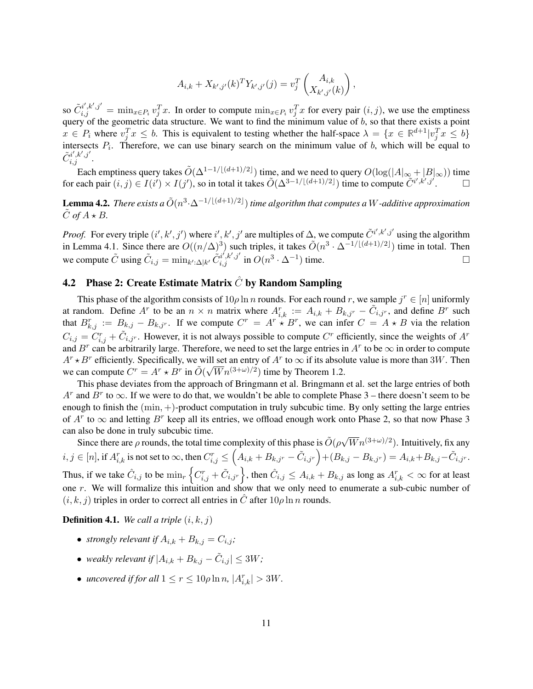$$
A_{i,k} + X_{k',j'}(k)^T Y_{k',j'}(j) = v_j^T \begin{pmatrix} A_{i,k} \\ X_{k',j'}(k) \end{pmatrix}
$$

,

so  $\tilde{C}_{i,j}^{i',k',j'} = \min_{x \in P_i} v_j^T x$ . In order to compute  $\min_{x \in P_i} v_j^T x$  for every pair  $(i, j)$ , we use the emptiness query of the geometric data structure. We want to find the minimum value of  $b$ , so that there exists a point  $x \in P_i$  where  $v_j^T x \leq b$ . This is equivalent to testing whether the half-space  $\lambda = \{x \in \mathbb{R}^{d+1} | v_j^T x \leq b\}$ intersects  $P_i$ . Therefore, we can use binary search on the minimum value of b, which will be equal to  $\tilde{C}^{i',k',j'}_{i,j}.$ 

Each emptiness query takes  $\tilde{O}(\Delta^{1-1/[(d+1)/2]})$  time, and we need to query  $O(\log(|A|_{\infty}+|B|_{\infty}))$  time for each pair  $(i, j) \in I(i') \times I(j')$ , so in total it takes  $\tilde{O}(\Delta^{3-1/[({d+1})/2]})$  time to compute  $\tilde{C}^{i', k', j'}$ .

**Lemma 4.2.** There exists a  $\tilde{O}(n^3 \cdot \Delta^{-1/[(d+1)/2]})$  time algorithm that computes a W-additive approximation  $\tilde{C}$  of  $A \star B$ .

*Proof.* For every triple  $(i', k', j')$  where  $i', k', j'$  are multiples of  $\Delta$ , we compute  $\tilde{C}^{i', k', j'}$  using the algorithm in Lemma 4.1. Since there are  $O((n/\Delta)^3)$  such triples, it takes  $\tilde{O}(n^3 \cdot \Delta^{-1/[(d+1)/2]})$  time in total. Then we compute  $\tilde{C}$  using  $\tilde{C}_{i,j} = \min_{k':\Delta|k'} \tilde{C}_{i,j}^{i',k',j'}$  in  $O(n^3 \cdot \Delta^{-1})$  time.

# **4.2** Phase 2: Create Estimate Matrix  $\hat{C}$  by Random Sampling

This phase of the algorithm consists of  $10\rho \ln n$  rounds. For each round r, we sample  $j^r \in [n]$  uniformly at random. Define  $A^r$  to be an  $n \times n$  matrix where  $A_{i,k}^r := A_{i,k} + B_{k,j^r} - \tilde{C}_{i,j^r}$ , and define  $B^r$  such that  $B_{k,j}^r := B_{k,j} - B_{k,j^r}$ . If we compute  $C^r = A^r * B^r$ , we can infer  $C = A * B$  via the relation  $C_{i,j} = C_{i,j}^r + \tilde{C}_{i,j}$ . However, it is not always possible to compute  $C^r$  efficiently, since the weights of  $A^r$ and  $B^r$  can be arbitrarily large. Therefore, we need to set the large entries in  $A^r$  to be  $\infty$  in order to compute  $A^r \star B^r$  efficiently. Specifically, we will set an entry of  $A^r$  to  $\infty$  if its absolute value is more than 3W. Then we can compute  $C^r = A^r \star B^r$  in  $\tilde{O}(\sqrt{W}n^{(3+\omega)/2})$  time by Theorem 1.2.

This phase deviates from the approach of Bringmann et al. Bringmann et al. set the large entries of both  $A^r$  and  $B^r$  to  $\infty$ . If we were to do that, we wouldn't be able to complete Phase 3 – there doesn't seem to be enough to finish the  $(\min, +)$ -product computation in truly subcubic time. By only setting the large entries of  $A^r$  to  $\infty$  and letting  $B^r$  keep all its entries, we offload enough work onto Phase 2, so that now Phase 3 can also be done in truly subcubic time.

also be done in truly subcubic time.<br>Since there are  $\rho$  rounds, the total time complexity of this phase is  $\tilde{O}(\rho\sqrt{W}n^{(3+\omega)/2})$ . Intuitively, fix any  $i,j\in [n],$  if  $A_{i,k}^r$  is not set to  $\infty$ , then  $C_{i,j}^r\leq \left(A_{i,k}+B_{k,j^r}-\tilde{C}_{i,j^r}\right)+(B_{k,j}-B_{k,j^r})=A_{i,k}+B_{k,j}-\tilde{C}_{i,j^r}.$ Thus, if we take  $\hat{C}_{i,j}$  to be  $\min_{r} \left\{ C_{i,j}^r + \tilde{C}_{i,j^r} \right\}$ , then  $\hat{C}_{i,j} \leq A_{i,k} + B_{k,j}$  as long as  $A_{i,k}^r < \infty$  for at least one r. We will formalize this intuition and show that we only need to enumerate a sub-cubic number of  $(i, k, j)$  triples in order to correct all entries in  $\hat{C}$  after  $10\rho \ln n$  rounds.

**Definition 4.1.** *We call a triple*  $(i, k, j)$ 

- *strongly relevant if*  $A_{i,k} + B_{k,i} = C_{i,i}$ ;
- weakly relevant if  $|A_{i,k} + B_{k,j} \tilde{C}_{i,j}| \le 3W$ ;
- *uncovered if for all*  $1 \leq r \leq 10\rho \ln n$ ,  $|A_{i,k}^r| > 3W$ .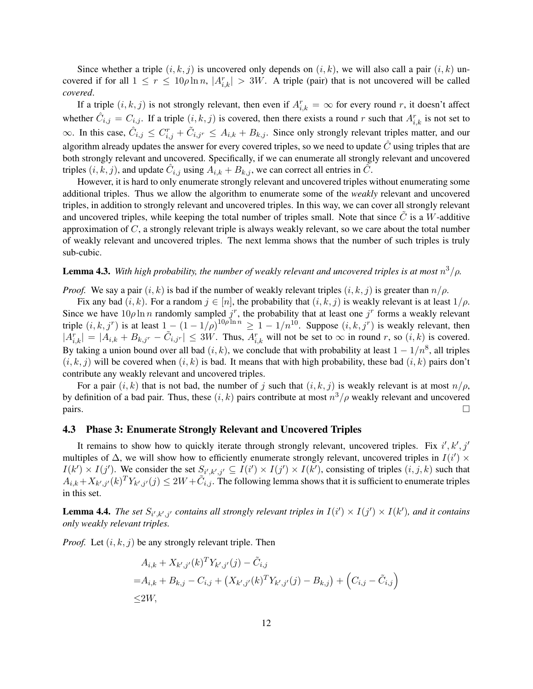Since whether a triple  $(i, k, j)$  is uncovered only depends on  $(i, k)$ , we will also call a pair  $(i, k)$  uncovered if for all  $1 \le r \le 10\rho \ln n$ ,  $|A_{i,k}^r| > 3W$ . A triple (pair) that is not uncovered will be called *covered*.

If a triple  $(i, k, j)$  is not strongly relevant, then even if  $A_{i,k}^r = \infty$  for every round r, it doesn't affect whether  $\hat{C}_{i,j} = C_{i,j}$ . If a triple  $(i, k, j)$  is covered, then there exists a round r such that  $A_{i,k}^r$  is not set to  $\infty$ . In this case,  $\hat{C}_{i,j} \leq C_{i,j}^r + \tilde{C}_{i,j}$   $\leq A_{i,k} + B_{k,j}$ . Since only strongly relevant triples matter, and our algorithm already updates the answer for every covered triples, so we need to update  $\hat{C}$  using triples that are both strongly relevant and uncovered. Specifically, if we can enumerate all strongly relevant and uncovered triples  $(i, k, j)$ , and update  $\hat{C}_{i,j}$  using  $\hat{A}_{i,k} + B_{k,j}$ , we can correct all entries in  $\tilde{C}$ .

However, it is hard to only enumerate strongly relevant and uncovered triples without enumerating some additional triples. Thus we allow the algorithm to enumerate some of the *weakly* relevant and uncovered triples, in addition to strongly relevant and uncovered triples. In this way, we can cover all strongly relevant and uncovered triples, while keeping the total number of triples small. Note that since  $C$  is a W-additive approximation of C, a strongly relevant triple is always weakly relevant, so we care about the total number of weakly relevant and uncovered triples. The next lemma shows that the number of such triples is truly sub-cubic.

### **Lemma 4.3.** With high probability, the number of weakly relevant and uncovered triples is at most  $n^3/\rho$ .

*Proof.* We say a pair  $(i, k)$  is bad if the number of weakly relevant triples  $(i, k, j)$  is greater than  $n/\rho$ .

Fix any bad  $(i, k)$ . For a random  $j \in [n]$ , the probability that  $(i, k, j)$  is weakly relevant is at least  $1/\rho$ . Since we have  $10\rho \ln n$  randomly sampled  $j^r$ , the probability that at least one  $j^r$  forms a weakly relevant triple  $(i, k, j^r)$  is at least  $1 - (1 - 1/\rho)^{10\rho \ln n} \geq 1 - 1/n^{10}$ . Suppose  $(i, k, j^r)$  is weakly relevant, then  $|A_{i,k}^r| = |A_{i,k} + B_{k,j^r} - \tilde{C}_{i,j^r}| \le 3W$ . Thus,  $A_{i,k}^r$  will not be set to  $\infty$  in round r, so  $(i,k)$  is covered. By taking a union bound over all bad  $(i, k)$ , we conclude that with probability at least  $1 - 1/n^8$ , all triples  $(i, k, j)$  will be covered when  $(i, k)$  is bad. It means that with high probability, these bad  $(i, k)$  pairs don't contribute any weakly relevant and uncovered triples.

For a pair  $(i, k)$  that is not bad, the number of j such that  $(i, k, j)$  is weakly relevant is at most  $n/\rho$ , by definition of a bad pair. Thus, these  $(i, k)$  pairs contribute at most  $n^3/\rho$  weakly relevant and uncovered  $\Box$ 

#### 4.3 Phase 3: Enumerate Strongly Relevant and Uncovered Triples

It remains to show how to quickly iterate through strongly relevant, uncovered triples. Fix  $i', k', j'$ multiples of  $\Delta$ , we will show how to efficiently enumerate strongly relevant, uncovered triples in  $I(i') \times$  $I(k') \times I(j')$ . We consider the set  $S_{i',k',j'} \subseteq I(i') \times I(j') \times I(k')$ , consisting of triples  $(i, j, k)$  such that  $A_{i,k}+X_{k',j'}(k)^TY_{k',j'}(j)\leq 2W+\tilde{C}_{i,j}$ . The following lemma shows that it is sufficient to enumerate triples in this set.

**Lemma 4.4.** The set  $S_{i',k',j'}$  contains all strongly relevant triples in  $I(i') \times I(j') \times I(k')$ , and it contains *only weakly relevant triples.*

*Proof.* Let  $(i, k, j)$  be any strongly relevant triple. Then

$$
A_{i,k} + X_{k',j'}(k)^T Y_{k',j'}(j) - \tilde{C}_{i,j}
$$
  
=  $A_{i,k} + B_{k,j} - C_{i,j} + (X_{k',j'}(k)^T Y_{k',j'}(j) - B_{k,j}) + (C_{i,j} - \tilde{C}_{i,j})$   
≤2W,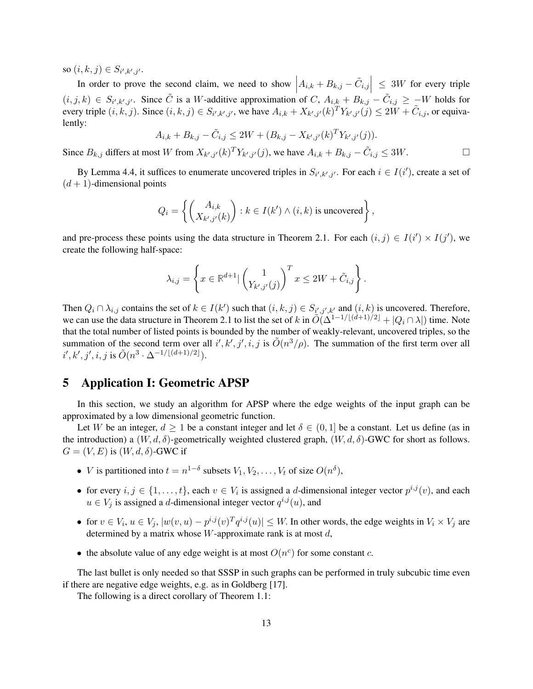so  $(i, k, j) \in S_{i', k', j'}.$ 

In order to prove the second claim, we need to show  $\left| A_{i,k} + B_{k,j} - \tilde{C}_{i,j} \right| \leq 3W$  for every triple  $(i, j, k) \in S_{i', k', j'}$ . Since  $\tilde{C}$  is a W-additive approximation of C,  $A_{i,k} + B_{k,j} - \tilde{C}_{i,j} \geq -W$  holds for every triple  $(i, k, j)$ . Since  $(i, k, j) \in S_{i', k', j'}$ , we have  $A_{i,k} + X_{k', j'}(k)^T Y_{k', j'}(j) \le 2W + \tilde{C}_{i,j}$ , or equivalently:

$$
A_{i,k} + B_{k,j} - \tilde{C}_{i,j} \le 2W + (B_{k,j} - X_{k',j'}(k)^T Y_{k',j'}(j)).
$$

Since  $B_{k,j}$  differs at most W from  $X_{k',j'}(k)^T Y_{k',j'}(j)$ , we have  $A_{i,k} + B_{k,j} - \tilde{C}_{i,j} \le 3W$ .

By Lemma 4.4, it suffices to enumerate uncovered triples in  $S_{i',k',j'}$ . For each  $i \in I(i')$ , create a set of  $(d+1)$ -dimensional points

$$
Q_i = \left\{ \begin{pmatrix} A_{i,k} \\ X_{k',j'}(k) \end{pmatrix} : k \in I(k') \land (i,k) \text{ is uncovered} \right\},\
$$

and pre-process these points using the data structure in Theorem 2.1. For each  $(i, j) \in I(i') \times I(j')$ , we create the following half-space:

$$
\lambda_{i,j} = \left\{ x \in \mathbb{R}^{d+1} \vert \begin{pmatrix} 1 \\ Y_{k',j'}(j) \end{pmatrix}^T x \le 2W + \tilde{C}_{i,j} \right\}.
$$

Then  $Q_i \cap \lambda_{i,j}$  contains the set of  $k \in I(k')$  such that  $(i, k, j) \in S_{i',j',k'}$  and  $(i, k)$  is uncovered. Therefore, we can use the data structure in Theorem 2.1 to list the set of k in  $O(\Delta^{1-1/[(d+1)/2]} + |Q_i \cap \lambda|)$  time. Note that the total number of listed points is bounded by the number of weakly-relevant, uncovered triples, so the summation of the second term over all i', k', j', i, j is  $\tilde{O}(n^3/\rho)$ . The summation of the first term over all  $i', k', j', i, j$  is  $\tilde{O}(n^3 \cdot \Delta^{-1/\lfloor (d+1)/2 \rfloor}).$ 

# 5 Application I: Geometric APSP

In this section, we study an algorithm for APSP where the edge weights of the input graph can be approximated by a low dimensional geometric function.

Let W be an integer,  $d \geq 1$  be a constant integer and let  $\delta \in (0,1]$  be a constant. Let us define (as in the introduction) a  $(W, d, \delta)$ -geometrically weighted clustered graph,  $(W, d, \delta)$ -GWC for short as follows.  $G = (V, E)$  is  $(W, d, \delta)$ -GWC if

- *V* is partitioned into  $t = n^{1-\delta}$  subsets  $V_1, V_2, \dots, V_t$  of size  $O(n^{\delta})$ ,
- for every  $i, j \in \{1, ..., t\}$ , each  $v \in V_i$  is assigned a *d*-dimensional integer vector  $p^{i,j}(v)$ , and each  $u \in V_j$  is assigned a d-dimensional integer vector  $q^{i,j}(u)$ , and
- for  $v \in V_i$ ,  $u \in V_j$ ,  $|w(v, u) p^{i,j}(v)^T q^{i,j}(u)| \leq W$ . In other words, the edge weights in  $V_i \times V_j$  are determined by a matrix whose  $W$ -approximate rank is at most  $d$ ,
- the absolute value of any edge weight is at most  $O(n^c)$  for some constant c.

The last bullet is only needed so that SSSP in such graphs can be performed in truly subcubic time even if there are negative edge weights, e.g. as in Goldberg [17].

The following is a direct corollary of Theorem 1.1: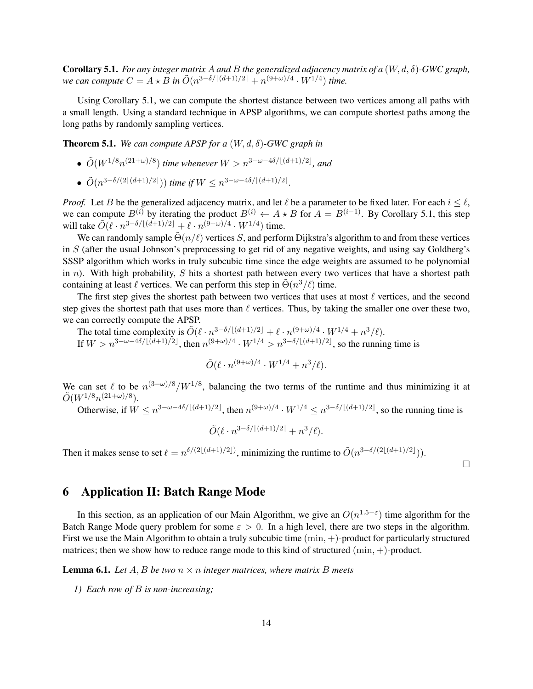Corollary 5.1. *For any integer matrix* A *and* B *the generalized adjacency matrix of a* (W, d, δ)*-GWC graph, we can compute*  $C = A \star B$  *in*  $\tilde{O}(n^{3-\delta/[(d+1)/2]} + n^{(9+\omega)/4} \cdot W^{1/4})$  *time.* 

Using Corollary 5.1, we can compute the shortest distance between two vertices among all paths with a small length. Using a standard technique in APSP algorithms, we can compute shortest paths among the long paths by randomly sampling vertices.

Theorem 5.1. *We can compute APSP for a* (W, d, δ)*-GWC graph in*

- $\tilde{O}(W^{1/8}n^{(21+\omega)/8})$  *time whenever*  $W > n^{3-\omega-4\delta/[(d+1)/2]}$ *, and*
- $\tilde{O}(n^{3-\delta/(2\lfloor (d+1)/2 \rfloor}))$  *time if*  $W \leq n^{3-\omega-4\delta/\lfloor (d+1)/2 \rfloor}$ .

*Proof.* Let B be the generalized adjacency matrix, and let  $\ell$  be a parameter to be fixed later. For each  $i \leq \ell$ , we can compute  $B^{(i)}$  by iterating the product  $B^{(i)} \leftarrow A \star B$  for  $A = B^{(i-1)}$ . By Corollary 5.1, this step will take  $\tilde{O}(\ell \cdot n^{3-\delta/[(d+1)/2]} + \ell \cdot n^{(9+\omega)/4} \cdot W^{1/4})$  time.

We can randomly sample  $\tilde{\Theta}(n/\ell)$  vertices S, and perform Dijkstra's algorithm to and from these vertices in S (after the usual Johnson's preprocessing to get rid of any negative weights, and using say Goldberg's SSSP algorithm which works in truly subcubic time since the edge weights are assumed to be polynomial in  $n$ ). With high probability, S hits a shortest path between every two vertices that have a shortest path containing at least  $\ell$  vertices. We can perform this step in  $\tilde{\Theta}(n^3/\ell)$  time.

The first step gives the shortest path between two vertices that uses at most  $\ell$  vertices, and the second step gives the shortest path that uses more than  $\ell$  vertices. Thus, by taking the smaller one over these two, we can correctly compute the APSP.

The total time complexity is  $\tilde{O}(\ell \cdot n^{3-\delta/[(d+1)/2]} + \ell \cdot n^{(9+\omega)/4} \cdot W^{1/4} + n^3/\ell)$ . If  $W > n^{3-\omega-4\delta/[(d+1)/2]}$ , then  $n^{(9+\omega)/4} \cdot W^{1/4} > n^{3-\delta/[(d+1)/2]}$ , so the running time is

$$
\tilde{O}(\ell \cdot n^{(9+\omega)/4} \cdot W^{1/4} + n^3/\ell).
$$

We can set  $\ell$  to be  $n^{(3-\omega)/8}/W^{1/8}$ , balancing the two terms of the runtime and thus minimizing it at  $\tilde{O}(W^{1/8}n^{(21+\omega)/8}).$ 

Otherwise, if  $W \le n^{3-\omega-4\delta/[(d+1)/2]}$ , then  $n^{(9+\omega)/4} \cdot W^{1/4} \le n^{3-\delta/[(d+1)/2]}$ , so the running time is

$$
\tilde{O}(\ell \cdot n^{3-\delta/\lfloor (d+1)/2 \rfloor} + n^3/\ell).
$$

Then it makes sense to set  $\ell = n^{\delta/(2\lfloor (d+1)/2 \rfloor)}$ , minimizing the runtime to  $\tilde{O}(n^{3-\delta/(2\lfloor (d+1)/2 \rfloor})).$ 

 $\Box$ 

## 6 Application II: Batch Range Mode

In this section, as an application of our Main Algorithm, we give an  $O(n^{1.5-\epsilon})$  time algorithm for the Batch Range Mode query problem for some  $\varepsilon > 0$ . In a high level, there are two steps in the algorithm. First we use the Main Algorithm to obtain a truly subcubic time  $(\min, +)$ -product for particularly structured matrices; then we show how to reduce range mode to this kind of structured  $(\min, +)$ -product.

**Lemma 6.1.** Let  $A, B$  be two  $n \times n$  integer matrices, where matrix  $B$  meets

*1) Each row of* B *is non-increasing;*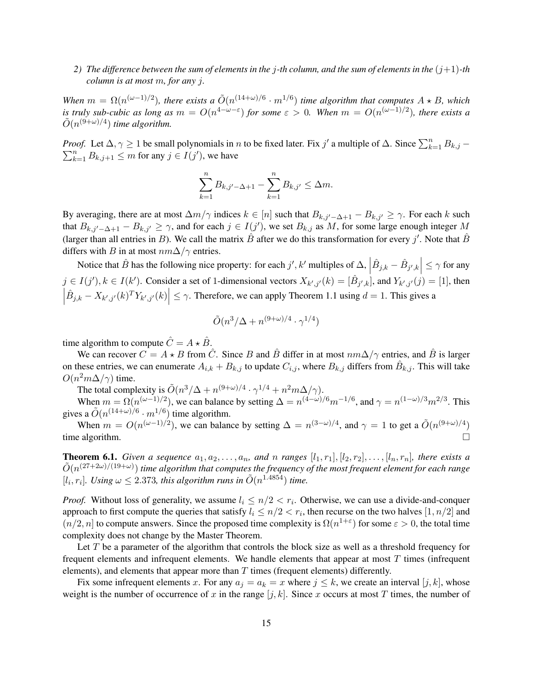2) The difference between the sum of elements in the *j*-th column, and the sum of elements in the  $(j+1)$ -th *column is at most* m*, for any* j*.*

*When*  $m = \Omega(n^{(\omega-1)/2})$ , there exists a  $\tilde{O}(n^{(14+\omega)/6} \cdot m^{1/6})$  time algorithm that computes  $A \star B$ , which *is truly sub-cubic as long as*  $m = O(n^{4-\omega-\epsilon})$  *for some*  $\varepsilon > 0$ *. When*  $m = O(n^{(\omega-1)/2})$ *, there exists a*  $\tilde{O}(n^{(9+\omega)/4})$  time algorithm.

*Proof.* Let  $\Delta, \gamma \ge 1$  be small polynomials in *n* to be fixed later. Fix j' a multiple of  $\Delta$ . Since  $\sum_{k=1}^{n} B_{k,j}$  –  $\sum_{k=1}^{n} B_{k,j+1} \leq m$  for any  $j \in I(j')$ , we have

$$
\sum_{k=1}^{n} B_{k,j'-\Delta+1} - \sum_{k=1}^{n} B_{k,j'} \leq \Delta m.
$$

By averaging, there are at most  $\Delta m/\gamma$  indices  $k \in [n]$  such that  $B_{k,j'-\Delta+1} - B_{k,j'} \geq \gamma$ . For each k such that  $B_{k,j'-\Delta+1} - B_{k,j'} \geq \gamma$ , and for each  $j \in I(j')$ , we set  $B_{k,j}$  as M, for some large enough integer M (larger than all entries in B). We call the matrix  $\hat{B}$  after we do this transformation for every j'. Note that  $\hat{B}$ differs with B in at most  $nm\Delta/\gamma$  entries.

Notice that  $\hat{B}$  has the following nice property: for each  $j', k'$  multiples of  $\Delta$ ,  $\left| \hat{B}_{j,k} - \hat{B}_{j',k} \right| \leq \gamma$  for any  $j \in I(j'), k \in I(k')$ . Consider a set of 1-dimensional vectors  $X_{k',j'}(k) = [\hat{B}_{j',k}]$ , and  $Y_{k',j'}(j) = [1]$ , then  $\begin{array}{c} \begin{array}{c} \begin{array}{c} \end{array} \\ \begin{array}{c} \end{array} \end{array} \end{array}$  $\left| \hat{B}_{j,k} - X_{k',j'}(k)^T Y_{k',j'}(k) \right| \leq \gamma$ . Therefore, we can apply Theorem 1.1 using  $d = 1$ . This gives a

$$
\tilde{O}(n^3/\Delta + n^{(9+\omega)/4} \cdot \gamma^{1/4})
$$

time algorithm to compute  $\hat{C} = A \star \hat{B}$ .

We can recover  $C = A \star B$  from  $\hat{C}$ . Since B and  $\hat{B}$  differ in at most  $nm\Delta/\gamma$  entries, and  $\hat{B}$  is larger on these entries, we can enumerate  $A_{i,k} + B_{k,j}$  to update  $C_{i,j}$ , where  $B_{k,j}$  differs from  $\hat{B}_{k,j}$ . This will take  $O(n^2m\Delta/\gamma)$  time.

The total complexity is  $\tilde{O}(n^3/\Delta + n^{(9+\omega)/4} \cdot \gamma^{1/4} + n^2 m \Delta / \gamma)$ .

When  $m = \Omega(n^{(\omega - 1)/2})$ , we can balance by setting  $\Delta = n^{(4-\omega)/6} m^{-1/6}$ , and  $\gamma = n^{(1-\omega)/3} m^{2/3}$ . This gives a  $\tilde{O}(n^{(14+\omega)/6} \cdot m^{1/6})$  time algorithm.

When  $m = O(n^{(\omega-1)/2})$ , we can balance by setting  $\Delta = n^{(3-\omega)/4}$ , and  $\gamma = 1$  to get a  $\tilde{O}(n^{(9+\omega)/4})$ time algorithm.

**Theorem 6.1.** *Given a sequence*  $a_1, a_2, \ldots, a_n$ *, and* n *ranges*  $[l_1, r_1], [l_2, r_2], \ldots, [l_n, r_n]$ *, there exists a*  $\tilde{O}(n^{(27+2\omega)/(19+\omega)})$  time algorithm that computes the frequency of the most frequent element for each range  $[l_i, r_i]$ . Using  $\omega \leq 2.373$ , this algorithm runs in  $\tilde{O}(n^{1.4854})$  time.

*Proof.* Without loss of generality, we assume  $l_i \leq n/2 < r_i$ . Otherwise, we can use a divide-and-conquer approach to first compute the queries that satisfy  $l_i \leq n/2 < r_i$ , then recurse on the two halves  $[1, n/2]$  and  $(n/2, n]$  to compute answers. Since the proposed time complexity is  $\Omega(n^{1+\epsilon})$  for some  $\epsilon > 0$ , the total time complexity does not change by the Master Theorem.

Let  $T$  be a parameter of the algorithm that controls the block size as well as a threshold frequency for frequent elements and infrequent elements. We handle elements that appear at most T times (infrequent elements), and elements that appear more than  $T$  times (frequent elements) differently.

Fix some infrequent elements x. For any  $a_j = a_k = x$  where  $j \leq k$ , we create an interval  $[j, k]$ , whose weight is the number of occurrence of x in the range  $[j, k]$ . Since x occurs at most T times, the number of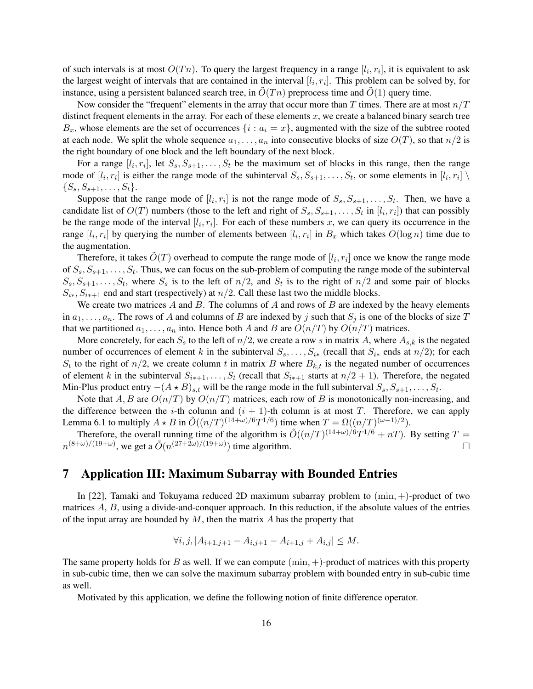of such intervals is at most  $O(Tn)$ . To query the largest frequency in a range  $[l_i, r_i]$ , it is equivalent to ask the largest weight of intervals that are contained in the interval  $[l_i, r_i]$ . This problem can be solved by, for instance, using a persistent balanced search tree, in  $O(Tn)$  preprocess time and  $O(1)$  query time.

Now consider the "frequent" elements in the array that occur more than T times. There are at most  $n/T$ distinct frequent elements in the array. For each of these elements  $x$ , we create a balanced binary search tree  $B_x$ , whose elements are the set of occurrences  $\{i : a_i = x\}$ , augmented with the size of the subtree rooted at each node. We split the whole sequence  $a_1, \ldots, a_n$  into consecutive blocks of size  $O(T)$ , so that  $n/2$  is the right boundary of one block and the left boundary of the next block.

For a range  $[l_i, r_i]$ , let  $S_s, S_{s+1}, \ldots, S_t$  be the maximum set of blocks in this range, then the range mode of  $[l_i, r_i]$  is either the range mode of the subinterval  $S_s, S_{s+1}, \ldots, S_t$ , or some elements in  $[l_i, r_i] \setminus I$  $\{S_s, S_{s+1}, \ldots, S_t\}.$ 

Suppose that the range mode of  $[l_i, r_i]$  is not the range mode of  $S_s, S_{s+1}, \ldots, S_t$ . Then, we have a candidate list of  $O(T)$  numbers (those to the left and right of  $S_s, S_{s+1}, \ldots, S_t$  in  $[l_i, r_i]$ ) that can possibly be the range mode of the interval  $[l_i, r_i]$ . For each of these numbers x, we can query its occurrence in the range  $[l_i, r_i]$  by querying the number of elements between  $[l_i, r_i]$  in  $B_x$  which takes  $O(\log n)$  time due to the augmentation.

Therefore, it takes  $\tilde{O}(T)$  overhead to compute the range mode of  $[l_i, r_i]$  once we know the range mode of  $S_s, S_{s+1}, \ldots, S_t$ . Thus, we can focus on the sub-problem of computing the range mode of the subinterval  $S_s, S_{s+1}, \ldots, S_t$ , where  $S_s$  is to the left of  $n/2$ , and  $S_t$  is to the right of  $n/2$  and some pair of blocks  $S_{i*}, S_{i*+1}$  end and start (respectively) at  $n/2$ . Call these last two the middle blocks.

We create two matrices  $A$  and  $B$ . The columns of  $A$  and rows of  $B$  are indexed by the heavy elements in  $a_1, \ldots, a_n$ . The rows of A and columns of B are indexed by j such that  $S_j$  is one of the blocks of size T that we partitioned  $a_1, \ldots, a_n$  into. Hence both A and B are  $O(n/T)$  by  $O(n/T)$  matrices.

More concretely, for each  $S_s$  to the left of  $n/2$ , we create a row s in matrix A, where  $A_{s,k}$  is the negated number of occurrences of element k in the subinterval  $S_s, \ldots, S_{i*}$  (recall that  $S_{i*}$  ends at  $n/2$ ); for each  $S_t$  to the right of  $n/2$ , we create column t in matrix B where  $B_{k,t}$  is the negated number of occurrences of element k in the subinterval  $S_{i*+1}, \ldots, S_t$  (recall that  $S_{i*+1}$  starts at  $n/2 + 1$ ). Therefore, the negated Min-Plus product entry  $-(A \star B)_{s,t}$  will be the range mode in the full subinterval  $S_s, S_{s+1}, \ldots, S_t$ .

Note that  $A, B$  are  $O(n/T)$  by  $O(n/T)$  matrices, each row of B is monotonically non-increasing, and the difference between the *i*-th column and  $(i + 1)$ -th column is at most T. Therefore, we can apply Lemma 6.1 to multiply  $A \star B$  in  $\tilde{O}((n/T)^{(14+\omega)/6}T^{1/6})$  time when  $T = \Omega((n/T)^{(\omega-1)/2})$ .

Therefore, the overall running time of the algorithm is  $\tilde{O}((n/T)^{(14+\omega)/6}T^{1/6}+nT)$ . By setting  $T=$  $n^{(8+\omega)/(19+\omega)}$ , we get a  $\tilde{O}(n^{(27+2\omega)/(19+\omega)})$  time algorithm.

### 7 Application III: Maximum Subarray with Bounded Entries

In [22], Tamaki and Tokuyama reduced 2D maximum subarray problem to  $(\min, +)$ -product of two matrices  $A, B$ , using a divide-and-conquer approach. In this reduction, if the absolute values of the entries of the input array are bounded by  $M$ , then the matrix  $A$  has the property that

$$
\forall i, j, |A_{i+1,j+1} - A_{i,j+1} - A_{i+1,j} + A_{i,j}| \le M.
$$

The same property holds for B as well. If we can compute  $(\min, +)$ -product of matrices with this property in sub-cubic time, then we can solve the maximum subarray problem with bounded entry in sub-cubic time as well.

Motivated by this application, we define the following notion of finite difference operator.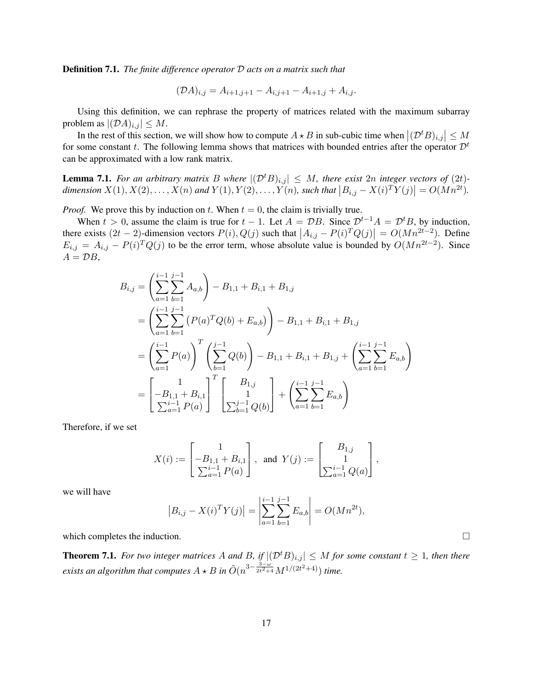Definition 7.1. *The finite difference operator* D *acts on a matrix such that*

$$
(\mathcal{D}A)_{i,j} = A_{i+1,j+1} - A_{i,j+1} - A_{i+1,j} + A_{i,j}.
$$

Using this definition, we can rephrase the property of matrices related with the maximum subarray problem as  $|(\mathcal{D}A)_{i,j}| \leq M$ .

In the rest of this section, we will show how to compute  $A \star B$  in sub-cubic time when  $|(\mathcal{D}^t B)_{i,j}| \leq M$ for some constant t. The following lemma shows that matrices with bounded entries after the operator  $\mathcal{D}^t$ can be approximated with a low rank matrix.

**Lemma 7.1.** For an arbitrary matrix B where  $|(\mathcal{D}^t B)_{i,j}| \leq M$ , there exist 2n integer vectors of (2t)dimension  $X(1), X(2), \ldots, X(n)$  and  $Y(1), Y(2), \ldots, Y(n)$ , such that  $|B_{i,j} - X(i)^T Y(j)| = O(Mn^{2t}).$ 

*Proof.* We prove this by induction on t. When  $t = 0$ , the claim is trivially true.

When  $t > 0$ , assume the claim is true for  $t - 1$ . Let  $A = \mathcal{D}B$ . Since  $\mathcal{D}^{t-1}A = \mathcal{D}^tB$ , by induction, there exists  $(2t-2)$ -dimension vectors  $P(i)$ ,  $Q(j)$  such that  $|A_{i,j} - P(i)^T Q(j)| = O(Mn^{2t-2})$ . Define  $E_{i,j} = A_{i,j} - P(i)^T Q(j)$  to be the error term, whose absolute value is bounded by  $O(Mn^{2t-2})$ . Since  $A = \mathcal{D}B$ ,

$$
B_{i,j} = \left(\sum_{a=1}^{i-1} \sum_{b=1}^{j-1} A_{a,b}\right) - B_{1,1} + B_{i,1} + B_{1,j}
$$
  
= 
$$
\left(\sum_{a=1}^{i-1} \sum_{b=1}^{j-1} (P(a)^T Q(b) + E_{a,b})\right) - B_{1,1} + B_{i,1} + B_{1,j}
$$
  
= 
$$
\left(\sum_{a=1}^{i-1} P(a)\right)^T \left(\sum_{b=1}^{j-1} Q(b)\right) - B_{1,1} + B_{i,1} + B_{1,j} + \left(\sum_{a=1}^{i-1} \sum_{b=1}^{j-1} E_{a,b}\right)
$$
  
= 
$$
\left[-B_{1,1} + B_{i,1}\right]^T \left[\begin{array}{c}B_{1,j} \\ 1 \\ \sum_{b=1}^{j-1} P(a)\end{array}\right] + \left(\sum_{a=1}^{i-1} \sum_{b=1}^{j-1} E_{a,b}\right)
$$

Therefore, if we set

$$
X(i) := \begin{bmatrix} 1 \\ -B_{1,1} + B_{i,1} \\ \sum_{a=1}^{i-1} P(a) \end{bmatrix}, \text{ and } Y(j) := \begin{bmatrix} B_{1,j} \\ 1 \\ \sum_{a=1}^{i-1} Q(a) \end{bmatrix},
$$

we will have

$$
|B_{i,j} - X(i)^T Y(j)| = \left| \sum_{a=1}^{i-1} \sum_{b=1}^{j-1} E_{a,b} \right| = O(Mn^{2t}),
$$

which completes the induction.

**Theorem 7.1.** *For two integer matrices* A and B, if  $|(\mathcal{D}^t B)_{i,j}| \leq M$  *for some constant*  $t \geq 1$ *, then there exists an algorithm that computes*  $A \star B$  *in*  $\tilde{O}(n^{3-\frac{3-\omega}{2t^2+4}}M^{1/(2t^2+4)})$  *time.*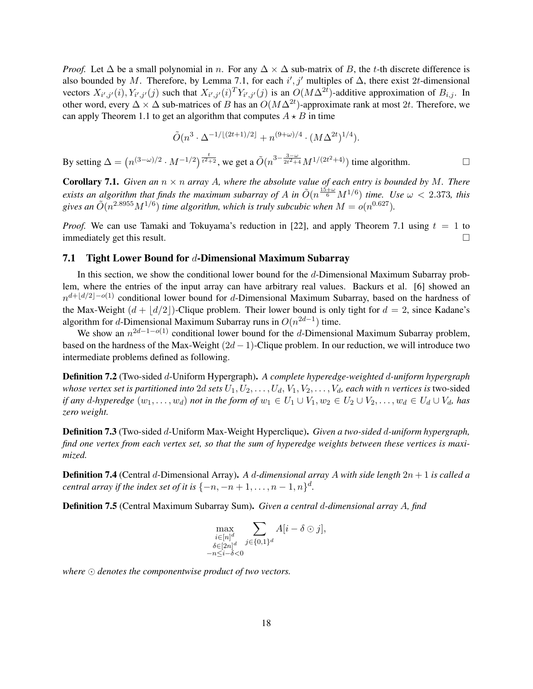*Proof.* Let  $\Delta$  be a small polynomial in n. For any  $\Delta \times \Delta$  sub-matrix of B, the t-th discrete difference is also bounded by M. Therefore, by Lemma 7.1, for each i', j' multiples of  $\Delta$ , there exist 2t-dimensional vectors  $X_{i',j'}(i), Y_{i',j'}(j)$  such that  $X_{i',j'}(i)^T Y_{i',j'}(j)$  is an  $O(M\Delta^{2t})$ -additive approximation of  $B_{i,j}$ . In other word, every  $\Delta \times \Delta$  sub-matrices of B has an  $O(M\Delta^{2t})$ -approximate rank at most 2t. Therefore, we can apply Theorem 1.1 to get an algorithm that computes  $A \star B$  in time

$$
\tilde{O}(n^3 \cdot \Delta^{-1/(2t+1)/2} + n^{(9+\omega)/4} \cdot (M\Delta^{2t})^{1/4}).
$$

By setting  $\Delta = (n^{(3-\omega)/2} \cdot M^{-1/2})^{\frac{t}{t^2+2}}$ , we get a  $\tilde{O}(n^{3-\frac{3-\omega}{2t^2+4}} M^{1/(2t^2+4)})$  time algorithm.

**Corollary 7.1.** *Given an*  $n \times n$  *array* A, where the absolute value of each entry is bounded by M. There *exists an algorithm that finds the maximum subarray of A in*  $\tilde{O}(n^{\frac{15+\omega}{6}}M^{1/6})$  *time.* Use  $\omega < 2.373$ , this gives an  $\tilde{O}(n^{2.8955}M^{1/6})$  time algorithm, which is truly subcubic when  $M = o(n^{0.627})$ .

*Proof.* We can use Tamaki and Tokuyama's reduction in [22], and apply Theorem 7.1 using  $t = 1$  to immediately get this result.

#### 7.1 Tight Lower Bound for d-Dimensional Maximum Subarray

In this section, we show the conditional lower bound for the  $d$ -Dimensional Maximum Subarray problem, where the entries of the input array can have arbitrary real values. Backurs et al. [6] showed an  $n^{d+\lfloor d/2\rfloor-o(1)}$  conditional lower bound for d-Dimensional Maximum Subarray, based on the hardness of the Max-Weight  $(d + |d/2|)$ -Clique problem. Their lower bound is only tight for  $d = 2$ , since Kadane's algorithm for d-Dimensional Maximum Subarray runs in  $O(n^{2d-1})$  time.

We show an  $n^{2d-1-o(1)}$  conditional lower bound for the d-Dimensional Maximum Subarray problem, based on the hardness of the Max-Weight  $(2d - 1)$ -Clique problem. In our reduction, we will introduce two intermediate problems defined as following.

Definition 7.2 (Two-sided d-Uniform Hypergraph). *A complete hyperedge-weighted* d*-uniform hypergraph whose vertex set is partitioned into* 2d *sets*  $U_1, U_2, \ldots, U_d, V_1, V_2, \ldots, V_d$ *, each with n vertices is* two-sided *if any* d-hyperedge  $(w_1, \ldots, w_d)$  *not in the form of*  $w_1 \in U_1 \cup V_1, w_2 \in U_2 \cup V_2, \ldots, w_d \in U_d \cup V_d$ , has *zero weight.*

Definition 7.3 (Two-sided d-Uniform Max-Weight Hyperclique). *Given a two-sided* d*-uniform hypergraph, find one vertex from each vertex set, so that the sum of hyperedge weights between these vertices is maximized.*

Definition 7.4 (Central d-Dimensional Array). *A* d*-dimensional array* A *with side length* 2n + 1 *is called a central array if the index set of it is*  $\{-n, -n+1, \ldots, n-1, n\}^d$ .

Definition 7.5 (Central Maximum Subarray Sum). *Given a central* d*-dimensional array* A*, find*

$$
\max_{\substack{i\in [n]^d\\ \delta\in [2n]^d\\ -n\leq i-\delta<0}} \sum_{j\in \{0,1\}^d} A[i-\delta\odot j],
$$

where  $\odot$  denotes the componentwise product of two vectors.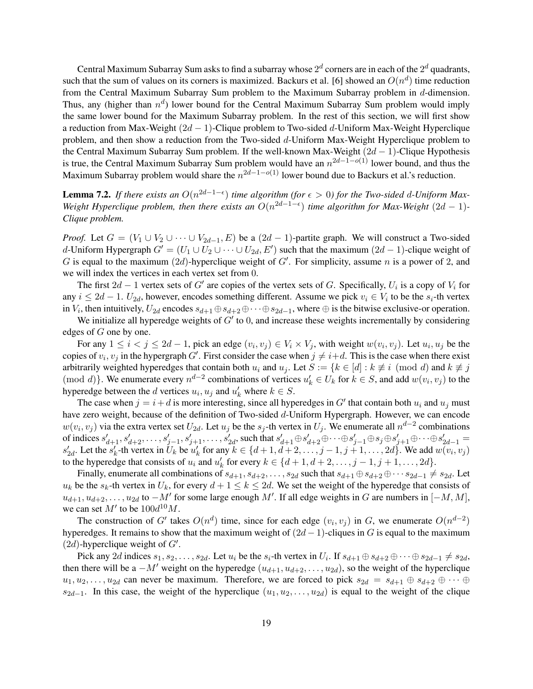Central Maximum Subarray Sum asks to find a subarray whose  $2^d$  corners are in each of the  $2^d$  quadrants, such that the sum of values on its corners is maximized. Backurs et al. [6] showed an  $O(n^d)$  time reduction from the Central Maximum Subarray Sum problem to the Maximum Subarray problem in d-dimension. Thus, any (higher than  $n^d$ ) lower bound for the Central Maximum Subarray Sum problem would imply the same lower bound for the Maximum Subarray problem. In the rest of this section, we will first show a reduction from Max-Weight  $(2d - 1)$ -Clique problem to Two-sided d-Uniform Max-Weight Hyperclique problem, and then show a reduction from the Two-sided d-Uniform Max-Weight Hyperclique problem to the Central Maximum Subarray Sum problem. If the well-known Max-Weight  $(2d - 1)$ -Clique Hypothesis is true, the Central Maximum Subarray Sum problem would have an  $n^{2d-1-o(1)}$  lower bound, and thus the Maximum Subarray problem would share the  $n^{2d-1-o(1)}$  lower bound due to Backurs et al.'s reduction.

**Lemma 7.2.** If there exists an  $O(n^{2d-1-\epsilon})$  time algorithm (for  $\epsilon > 0$ ) for the Two-sided d-Uniform Max-*Weight Hyperclique problem, then there exists an*  $O(n^{2d-1-\epsilon})$  *time algorithm for Max-Weight* (2d – 1)-*Clique problem.*

*Proof.* Let  $G = (V_1 \cup V_2 \cup \cdots \cup V_{2d-1}, E)$  be a  $(2d - 1)$ -partite graph. We will construct a Two-sided d-Uniform Hypergraph  $G' = (U_1 \cup U_2 \cup \cdots \cup U_{2d}, E')$  such that the maximum  $(2d - 1)$ -clique weight of G is equal to the maximum (2d)-hyperclique weight of  $G'$ . For simplicity, assume n is a power of 2, and we will index the vertices in each vertex set from 0.

The first  $2d - 1$  vertex sets of G' are copies of the vertex sets of G. Specifically,  $U_i$  is a copy of  $V_i$  for any  $i \leq 2d - 1$ .  $U_{2d}$ , however, encodes something different. Assume we pick  $v_i \in V_i$  to be the  $s_i$ -th vertex in  $V_i$ , then intuitively,  $U_{2d}$  encodes  $s_{d+1}\oplus s_{d+2}\oplus\cdots\oplus s_{2d-1}$ , where  $\oplus$  is the bitwise exclusive-or operation.

We initialize all hyperedge weights of  $G'$  to 0, and increase these weights incrementally by considering edges of G one by one.

For any  $1 \le i < j \le 2d - 1$ , pick an edge  $(v_i, v_j) \in V_i \times V_j$ , with weight  $w(v_i, v_j)$ . Let  $u_i, u_j$  be the copies of  $v_i$ ,  $v_j$  in the hypergraph G'. First consider the case when  $j \neq i+d$ . This is the case when there exist arbitrarily weighted hyperedges that contain both  $u_i$  and  $u_j$ . Let  $S := \{k \in [d] : k \not\equiv i \pmod{d} \}$  and  $k \not\equiv j$ (mod d)}. We enumerate every  $n^{d-2}$  combinations of vertices  $u'_k \in U_k$  for  $k \in S$ , and add  $w(v_i, v_j)$  to the hyperedge between the d vertices  $u_i, u_j$  and  $u'_k$  where  $k \in S$ .

The case when  $j = i + d$  is more interesting, since all hyperedges in G' that contain both  $u_i$  and  $u_j$  must have zero weight, because of the definition of Two-sided d-Uniform Hypergraph. However, we can encode  $w(v_i, v_j)$  via the extra vertex set  $U_{2d}$ . Let  $u_j$  be the  $s_j$ -th vertex in  $U_j$ . We enumerate all  $n^{d-2}$  combinations of indices  $s'_{d+1}, s'_{d+2}, \ldots, s'_{j-1}, s'_{j+1}, \ldots, s'_{2d}$ , such that  $s'_{d+1} \oplus s'_{d+2} \oplus \cdots \oplus s'_{j-1} \oplus s_j \oplus s'_{j+1} \oplus \cdots \oplus s'_{2d-1} =$  $s'_{2d}$ . Let the  $s'_{k}$ -th vertex in  $\tilde{U}_{k}$  be  $u'_{k}$  for any  $k \in \{d+1, d+2, \ldots, j-1, j+1, \ldots, 2d\}$ . We add  $w(v_{i}, v_{j})$ to the hyperedge that consists of  $u_i$  and  $u'_k$  for every  $k \in \{d+1, d+2, \ldots, j-1, j+1, \ldots, 2d\}$ .

Finally, enumerate all combinations of  $s_{d+1}, s_{d+2}, \ldots, s_{2d}$  such that  $s_{d+1} \oplus s_{d+2} \oplus \cdots s_{2d-1} \neq s_{2d}$ . Let  $u_k$  be the  $s_k$ -th vertex in  $U_k$ , for every  $d+1 \leq k \leq 2d$ . We set the weight of the hyperedge that consists of  $u_{d+1}, u_{d+2}, \ldots, u_{2d}$  to  $-M'$  for some large enough M'. If all edge weights in G are numbers in  $[-M, M]$ , we can set  $M'$  to be  $100d^{10}M$ .

The construction of G' takes  $O(n^d)$  time, since for each edge  $(v_i, v_j)$  in G, we enumerate  $O(n^{d-2})$ hyperedges. It remains to show that the maximum weight of  $(2d - 1)$ -cliques in G is equal to the maximum  $(2d)$ -hyperclique weight of  $G'$ .

Pick any 2d indices  $s_1, s_2, \ldots, s_{2d}$ . Let  $u_i$  be the  $s_i$ -th vertex in  $U_i$ . If  $s_{d+1} \oplus s_{d+2} \oplus \cdots \oplus s_{2d-1} \neq s_{2d}$ , then there will be a  $-M'$  weight on the hyperedge  $(u_{d+1}, u_{d+2}, \ldots, u_{2d})$ , so the weight of the hyperclique  $u_1, u_2, \ldots, u_{2d}$  can never be maximum. Therefore, we are forced to pick  $s_{2d} = s_{d+1} \oplus s_{d+2} \oplus \cdots \oplus s_{d+1}$  $s_{2d-1}$ . In this case, the weight of the hyperclique  $(u_1, u_2, \ldots, u_{2d})$  is equal to the weight of the clique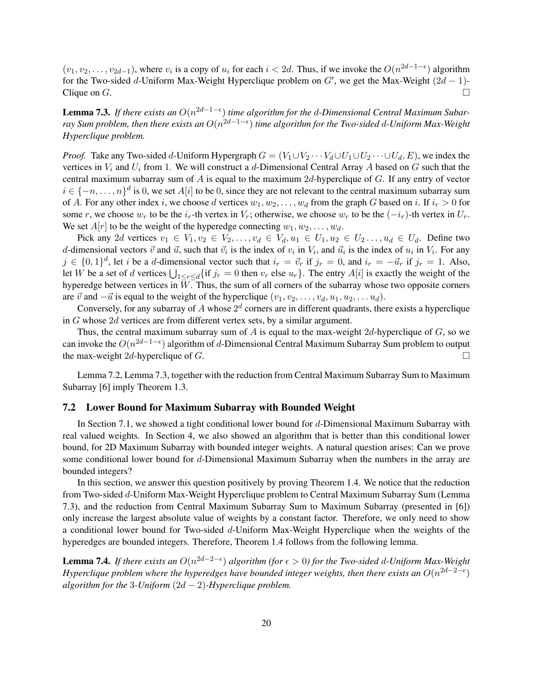$(v_1, v_2, \ldots, v_{2d-1})$ , where  $v_i$  is a copy of  $u_i$  for each  $i < 2d$ . Thus, if we invoke the  $O(n^{2d-1-\epsilon})$  algorithm for the Two-sided d-Uniform Max-Weight Hyperclique problem on  $G'$ , we get the Max-Weight  $(2d - 1)$ -Clique on  $G$ .

Lemma 7.3. *If there exists an* O(n 2d−1− ) *time algorithm for the* d*-Dimensional Central Maximum Subarray Sum problem, then there exists an* O(n 2d−1− ) *time algorithm for the Two-sided* d*-Uniform Max-Weight Hyperclique problem.*

*Proof.* Take any Two-sided d-Uniform Hypergraph  $G = (V_1 \cup V_2 \cdots V_d \cup U_1 \cup U_2 \cdots \cup U_d, E)$ , we index the vertices in  $V_i$  and  $U_i$  from 1. We will construct a d-Dimensional Central Array A based on G such that the central maximum subarray sum of  $A$  is equal to the maximum  $2d$ -hyperclique of  $G$ . If any entry of vector  $i \in \{-n, \ldots, n\}^d$  is 0, we set  $A[i]$  to be 0, since they are not relevant to the central maximum subarray sum of A. For any other index i, we choose d vertices  $w_1, w_2, \ldots, w_d$  from the graph G based on i. If  $i_r > 0$  for some r, we choose  $w_r$  to be the  $i_r$ -th vertex in  $V_r$ ; otherwise, we choose  $w_r$  to be the  $(-i_r)$ -th vertex in  $U_r$ . We set  $A[r]$  to be the weight of the hyperedge connecting  $w_1, w_2, \ldots, w_d$ .

Pick any 2d vertices  $v_1 \in V_1, v_2 \in V_2, \ldots, v_d \in V_d, u_1 \in U_1, u_2 \in U_2, \ldots, u_d \in U_d$ . Define two d-dimensional vectors  $\vec{v}$  and  $\vec{u}$ , such that  $\vec{v}_i$  is the index of  $v_i$  in  $V_i$ , and  $\vec{u}_i$  is the index of  $u_i$  in  $V_i$ . For any  $j \in \{0,1\}^d$ , let i be a d-dimensional vector such that  $i_r = \vec{v}_r$  if  $j_r = 0$ , and  $i_r = -\vec{u}_r$  if  $j_r = 1$ . Also, let W be a set of d vertices  $\bigcup_{1 \leq r \leq d} \{if \ j_r = 0 \text{ then } v_r \text{ else } u_r\}.$  The entry  $A[i]$  is exactly the weight of the hyperedge between vertices in  $W$ . Thus, the sum of all corners of the subarray whose two opposite corners are  $\vec{v}$  and  $-\vec{u}$  is equal to the weight of the hyperclique  $(v_1, v_2, \ldots, v_d, u_1, u_2, \ldots, u_d)$ .

Conversely, for any subarray of A whose  $2^d$  corners are in different quadrants, there exists a hyperclique in G whose 2d vertices are from different vertex sets, by a similar argument.

Thus, the central maximum subarray sum of A is equal to the max-weight  $2d$ -hyperclique of G, so we can invoke the  $O(n^{2d-1-\epsilon})$  algorithm of d-Dimensional Central Maximum Subarray Sum problem to output the max-weight 2d-hyperclique of G.  $\Box$ 

Lemma 7.2, Lemma 7.3, together with the reduction from Central Maximum Subarray Sum to Maximum Subarray [6] imply Theorem 1.3.

#### 7.2 Lower Bound for Maximum Subarray with Bounded Weight

In Section 7.1, we showed a tight conditional lower bound for d-Dimensional Maximum Subarray with real valued weights. In Section 4, we also showed an algorithm that is better than this conditional lower bound, for 2D Maximum Subarray with bounded integer weights. A natural question arises: Can we prove some conditional lower bound for d-Dimensional Maximum Subarray when the numbers in the array are bounded integers?

In this section, we answer this question positively by proving Theorem 1.4. We notice that the reduction from Two-sided d-Uniform Max-Weight Hyperclique problem to Central Maximum Subarray Sum (Lemma 7.3), and the reduction from Central Maximum Subarray Sum to Maximum Subarray (presented in [6]) only increase the largest absolute value of weights by a constant factor. Therefore, we only need to show a conditional lower bound for Two-sided  $d$ -Uniform Max-Weight Hyperclique when the weights of the hyperedges are bounded integers. Therefore, Theorem 1.4 follows from the following lemma.

Lemma 7.4. *If there exists an* O(n 2d−2− ) *algorithm (for* > 0*) for the Two-sided* d*-Uniform Max-Weight Hyperclique problem where the hyperedges have bounded integer weights, then there exists an*  $O(n^{2d-2-\epsilon})$ *algorithm for the* 3*-Uniform*  $(2d - 2)$ *-Hyperclique problem.*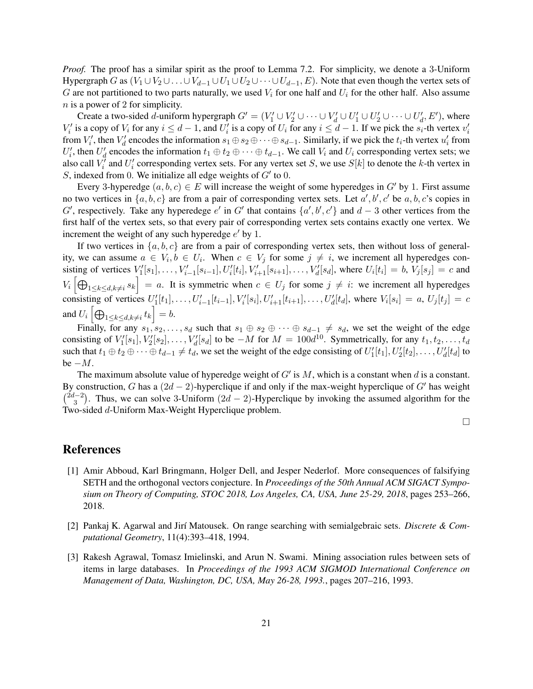*Proof.* The proof has a similar spirit as the proof to Lemma 7.2. For simplicity, we denote a 3-Uniform Hypergraph G as  $(V_1 \cup V_2 \cup \ldots \cup V_{d-1} \cup U_1 \cup U_2 \cup \cdots \cup U_{d-1}, E)$ . Note that even though the vertex sets of G are not partitioned to two parts naturally, we used  $V_i$  for one half and  $U_i$  for the other half. Also assume n is a power of 2 for simplicity.

Create a two-sided *d*-uniform hypergraph  $G' = (V'_1 \cup V'_2 \cup \cdots \cup V'_d \cup U'_1 \cup U'_2 \cup \cdots \cup U'_d, E')$ , where  $V_i'$  is a copy of  $V_i$  for any  $i \leq d-1$ , and  $U_i'$  is a copy of  $U_i$  for any  $i \leq d-1$ . If we pick the  $s_i$ -th vertex  $v_i'$ from  $V'_i$ , then  $V'_d$  encodes the information  $s_1 \oplus s_2 \oplus \cdots \oplus s_{d-1}$ . Similarly, if we pick the  $t_i$ -th vertex  $u'_i$  from  $U'_i$ , then  $U'_d$  encodes the information  $t_1 \oplus t_2 \oplus \cdots \oplus t_{d-1}$ . We call  $V_i$  and  $U_i$  corresponding vertex sets; we also call  $V_i^j$  and  $U_i^j$  corresponding vertex sets. For any vertex set S, we use  $S[k]$  to denote the k-th vertex in S, indexed from 0. We initialize all edge weights of  $G'$  to 0.

Every 3-hyperedge  $(a, b, c) \in E$  will increase the weight of some hyperedges in G' by 1. First assume no two vertices in  $\{a, b, c\}$  are from a pair of corresponding vertex sets. Let  $a', b', c'$  be  $a, b, c$ 's copies in G', respectively. Take any hyperedege e' in G' that contains  $\{a', b', c'\}$  and  $d-3$  other vertices from the first half of the vertex sets, so that every pair of corresponding vertex sets contains exactly one vertex. We increment the weight of any such hyperedge  $e'$  by 1.

If two vertices in  $\{a, b, c\}$  are from a pair of corresponding vertex sets, then without loss of generality, we can assume  $a \in V_i, b \in U_i$ . When  $c \in V_j$  for some  $j \neq i$ , we increment all hyperedges consisting of vertices  $V'_1[s_1], \ldots, V'_{i-1}[s_{i-1}], U'_i[t_i], V'_{i+1}[s_{i+1}], \ldots, V'_d[s_d]$ , where  $U_i[t_i] = b, V_j[s_j] = c$  and  $V_i \left[ \bigoplus_{1 \leq k \leq d, k \neq i} s_k \right] = a$ . It is symmetric when  $c \in U_j$  for some  $j \neq i$ : we increment all hyperedges consisting of vertices  $U'_1[t_1], \ldots, U'_{i-1}[t_{i-1}], V'_i[s_i], U'_{i+1}[t_{i+1}], \ldots, U'_d[t_d]$ , where  $V_i[s_i] = a, U_j[t_j] = c$ and  $U_i \left[ \bigoplus_{1 \leq k \leq d, k \neq i} t_k \right] = b.$ 

Finally, for any  $s_1, s_2, \ldots, s_d$  such that  $s_1 \oplus s_2 \oplus \cdots \oplus s_{d-1} \neq s_d$ , we set the weight of the edge consisting of  $V'_1[s_1], V'_2[s_2], \ldots, V'_d[s_d]$  to be  $-M$  for  $M = 100d^{10}$ . Symmetrically, for any  $t_1, t_2, \ldots, t_d$ such that  $t_1 \oplus t_2 \oplus \cdots \oplus t_{d-1} \neq t_d$ , we set the weight of the edge consisting of  $U'_1[t_1], U'_2[t_2], \ldots, U'_d[t_d]$  to be  $-M$ .

The maximum absolute value of hyperedge weight of  $G'$  is  $M$ , which is a constant when  $d$  is a constant. By construction, G has a  $(2d - 2)$ -hyperclique if and only if the max-weight hyperclique of G' has weight  $\binom{2d-2}{2}$  $\binom{3}{3}$ . Thus, we can solve 3-Uniform  $(2d - 2)$ -Hyperclique by invoking the assumed algorithm for the Two-sided d-Uniform Max-Weight Hyperclique problem.

 $\Box$ 

### References

- [1] Amir Abboud, Karl Bringmann, Holger Dell, and Jesper Nederlof. More consequences of falsifying SETH and the orthogonal vectors conjecture. In *Proceedings of the 50th Annual ACM SIGACT Symposium on Theory of Computing, STOC 2018, Los Angeles, CA, USA, June 25-29, 2018*, pages 253–266, 2018.
- [2] Pankaj K. Agarwal and Jir´ı Matousek. On range searching with semialgebraic sets. *Discrete & Computational Geometry*, 11(4):393–418, 1994.
- [3] Rakesh Agrawal, Tomasz Imielinski, and Arun N. Swami. Mining association rules between sets of items in large databases. In *Proceedings of the 1993 ACM SIGMOD International Conference on Management of Data, Washington, DC, USA, May 26-28, 1993.*, pages 207–216, 1993.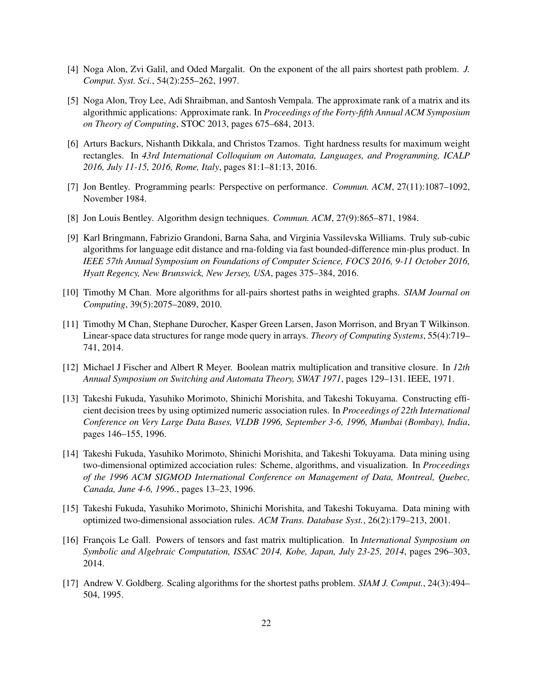- [4] Noga Alon, Zvi Galil, and Oded Margalit. On the exponent of the all pairs shortest path problem. *J. Comput. Syst. Sci.*, 54(2):255–262, 1997.
- [5] Noga Alon, Troy Lee, Adi Shraibman, and Santosh Vempala. The approximate rank of a matrix and its algorithmic applications: Approximate rank. In *Proceedings of the Forty-fifth Annual ACM Symposium on Theory of Computing*, STOC 2013, pages 675–684, 2013.
- [6] Arturs Backurs, Nishanth Dikkala, and Christos Tzamos. Tight hardness results for maximum weight rectangles. In *43rd International Colloquium on Automata, Languages, and Programming, ICALP 2016, July 11-15, 2016, Rome, Italy*, pages 81:1–81:13, 2016.
- [7] Jon Bentley. Programming pearls: Perspective on performance. *Commun. ACM*, 27(11):1087–1092, November 1984.
- [8] Jon Louis Bentley. Algorithm design techniques. *Commun. ACM*, 27(9):865–871, 1984.
- [9] Karl Bringmann, Fabrizio Grandoni, Barna Saha, and Virginia Vassilevska Williams. Truly sub-cubic algorithms for language edit distance and rna-folding via fast bounded-difference min-plus product. In *IEEE 57th Annual Symposium on Foundations of Computer Science, FOCS 2016, 9-11 October 2016, Hyatt Regency, New Brunswick, New Jersey, USA*, pages 375–384, 2016.
- [10] Timothy M Chan. More algorithms for all-pairs shortest paths in weighted graphs. *SIAM Journal on Computing*, 39(5):2075–2089, 2010.
- [11] Timothy M Chan, Stephane Durocher, Kasper Green Larsen, Jason Morrison, and Bryan T Wilkinson. Linear-space data structures for range mode query in arrays. *Theory of Computing Systems*, 55(4):719– 741, 2014.
- [12] Michael J Fischer and Albert R Meyer. Boolean matrix multiplication and transitive closure. In *12th Annual Symposium on Switching and Automata Theory, SWAT 1971*, pages 129–131. IEEE, 1971.
- [13] Takeshi Fukuda, Yasuhiko Morimoto, Shinichi Morishita, and Takeshi Tokuyama. Constructing efficient decision trees by using optimized numeric association rules. In *Proceedings of 22th International Conference on Very Large Data Bases, VLDB 1996, September 3-6, 1996, Mumbai (Bombay), India*, pages 146–155, 1996.
- [14] Takeshi Fukuda, Yasuhiko Morimoto, Shinichi Morishita, and Takeshi Tokuyama. Data mining using two-dimensional optimized accociation rules: Scheme, algorithms, and visualization. In *Proceedings of the 1996 ACM SIGMOD International Conference on Management of Data, Montreal, Quebec, Canada, June 4-6, 1996.*, pages 13–23, 1996.
- [15] Takeshi Fukuda, Yasuhiko Morimoto, Shinichi Morishita, and Takeshi Tokuyama. Data mining with optimized two-dimensional association rules. *ACM Trans. Database Syst.*, 26(2):179–213, 2001.
- [16] François Le Gall. Powers of tensors and fast matrix multiplication. In *International Symposium on Symbolic and Algebraic Computation, ISSAC 2014, Kobe, Japan, July 23-25, 2014*, pages 296–303, 2014.
- [17] Andrew V. Goldberg. Scaling algorithms for the shortest paths problem. *SIAM J. Comput.*, 24(3):494– 504, 1995.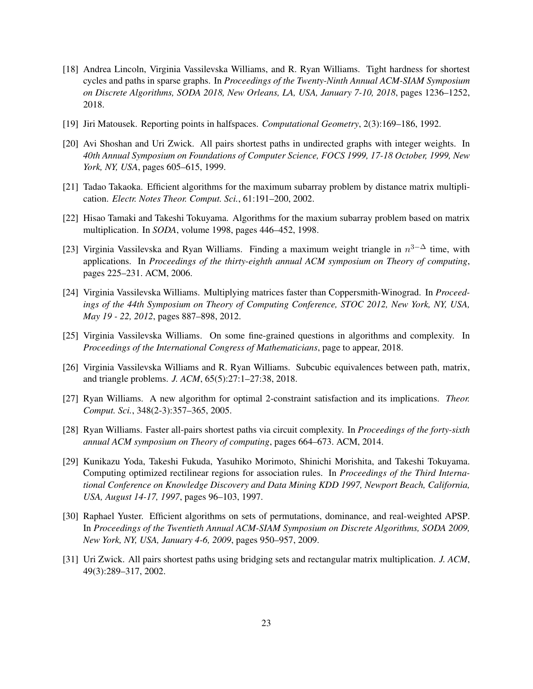- [18] Andrea Lincoln, Virginia Vassilevska Williams, and R. Ryan Williams. Tight hardness for shortest cycles and paths in sparse graphs. In *Proceedings of the Twenty-Ninth Annual ACM-SIAM Symposium on Discrete Algorithms, SODA 2018, New Orleans, LA, USA, January 7-10, 2018*, pages 1236–1252, 2018.
- [19] Jiri Matousek. Reporting points in halfspaces. *Computational Geometry*, 2(3):169–186, 1992.
- [20] Avi Shoshan and Uri Zwick. All pairs shortest paths in undirected graphs with integer weights. In *40th Annual Symposium on Foundations of Computer Science, FOCS 1999, 17-18 October, 1999, New York, NY, USA*, pages 605–615, 1999.
- [21] Tadao Takaoka. Efficient algorithms for the maximum subarray problem by distance matrix multiplication. *Electr. Notes Theor. Comput. Sci.*, 61:191–200, 2002.
- [22] Hisao Tamaki and Takeshi Tokuyama. Algorithms for the maxium subarray problem based on matrix multiplication. In *SODA*, volume 1998, pages 446–452, 1998.
- [23] Virginia Vassilevska and Ryan Williams. Finding a maximum weight triangle in  $n^{3-\Delta}$  time, with applications. In *Proceedings of the thirty-eighth annual ACM symposium on Theory of computing*, pages 225–231. ACM, 2006.
- [24] Virginia Vassilevska Williams. Multiplying matrices faster than Coppersmith-Winograd. In *Proceedings of the 44th Symposium on Theory of Computing Conference, STOC 2012, New York, NY, USA, May 19 - 22, 2012*, pages 887–898, 2012.
- [25] Virginia Vassilevska Williams. On some fine-grained questions in algorithms and complexity. In *Proceedings of the International Congress of Mathematicians*, page to appear, 2018.
- [26] Virginia Vassilevska Williams and R. Ryan Williams. Subcubic equivalences between path, matrix, and triangle problems. *J. ACM*, 65(5):27:1–27:38, 2018.
- [27] Ryan Williams. A new algorithm for optimal 2-constraint satisfaction and its implications. *Theor. Comput. Sci.*, 348(2-3):357–365, 2005.
- [28] Ryan Williams. Faster all-pairs shortest paths via circuit complexity. In *Proceedings of the forty-sixth annual ACM symposium on Theory of computing*, pages 664–673. ACM, 2014.
- [29] Kunikazu Yoda, Takeshi Fukuda, Yasuhiko Morimoto, Shinichi Morishita, and Takeshi Tokuyama. Computing optimized rectilinear regions for association rules. In *Proceedings of the Third International Conference on Knowledge Discovery and Data Mining KDD 1997, Newport Beach, California, USA, August 14-17, 1997*, pages 96–103, 1997.
- [30] Raphael Yuster. Efficient algorithms on sets of permutations, dominance, and real-weighted APSP. In *Proceedings of the Twentieth Annual ACM-SIAM Symposium on Discrete Algorithms, SODA 2009, New York, NY, USA, January 4-6, 2009*, pages 950–957, 2009.
- [31] Uri Zwick. All pairs shortest paths using bridging sets and rectangular matrix multiplication. *J. ACM*, 49(3):289–317, 2002.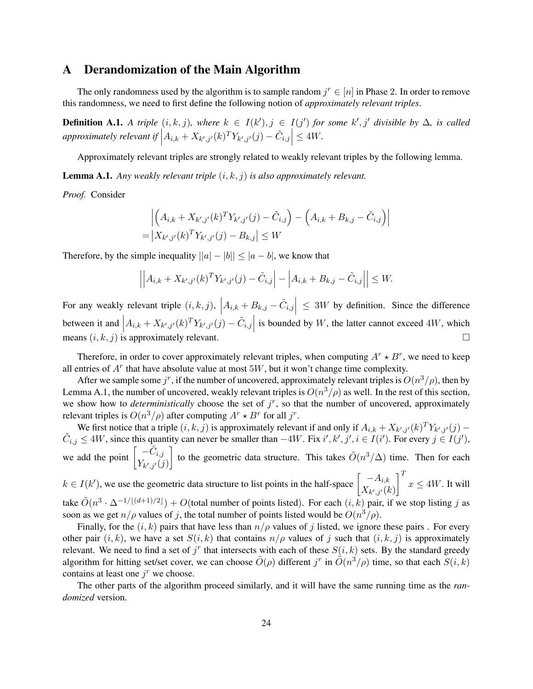### A Derandomization of the Main Algorithm

The only randomness used by the algorithm is to sample random  $j^r \in [n]$  in Phase 2. In order to remove this randomness, we need to first define the following notion of *approximately relevant triples*.

**Definition A.1.** A triple  $(i, k, j)$ , where  $k \in I(k')$ ,  $j \in I(j')$  for some  $k', j'$  divisible by  $\Delta$ , is called  $\mathit{approximately}$  relevant if  $\left|A_{i,k}+X_{k',j'}(k)^TY_{k',j'}(j)-\tilde{C}_{i,j}\right|\leq 4W.$ 

Approximately relevant triples are strongly related to weakly relevant triples by the following lemma.

Lemma A.1. *Any weakly relevant triple* (i, k, j) *is also approximately relevant.*

*Proof.* Consider

$$
\left| \left( A_{i,k} + X_{k',j'}(k)^T Y_{k',j'}(j) - \tilde{C}_{i,j} \right) - \left( A_{i,k} + B_{k,j} - \tilde{C}_{i,j} \right) \right|
$$
  
=  $|X_{k',j'}(k)^T Y_{k',j'}(j) - B_{k,j}| \le W$ 

Therefore, by the simple inequality  $||a| - |b|| \le |a - b|$ , we know that

$$
\left| \left| A_{i,k} + X_{k',j'}(k)^T Y_{k',j'}(j) - \tilde{C}_{i,j} \right| - \left| A_{i,k} + B_{k,j} - \tilde{C}_{i,j} \right| \right| \leq W.
$$

For any weakly relevant triple  $(i, k, j)$ ,  $\left| A_{i,k} + B_{k,j} - \tilde{C}_{i,j} \right| \leq 3W$  by definition. Since the difference between it and  $\left| A_{i,k} + X_{k',j'}(k)^T Y_{k',j'}(j) - \tilde{C}_{i,j} \right|$  is bounded by W, the latter cannot exceed 4W, which means  $(i, k, j)$  is approximately relevant.

Therefore, in order to cover approximately relevant triples, when computing  $A^r \star B^r$ , we need to keep all entries of  $A<sup>r</sup>$  that have absolute value at most 5W, but it won't change time complexity.

After we sample some  $j^r$ , if the number of uncovered, approximately relevant triples is  $O(n^3/\rho)$ , then by Lemma A.1, the number of uncovered, weakly relevant triples is  $O(n^3/\rho)$  as well. In the rest of this section, we show how to *deterministically* choose the set of  $j<sup>r</sup>$ , so that the number of uncovered, approximately relevant triples is  $O(n^3/\rho)$  after computing  $A^r \star B^r$  for all  $j^r$ .

We first notice that a triple  $(i, k, j)$  is approximately relevant if and only if  $A_{i,k} + X_{k',j'}(k)^T Y_{k',j'}(j)$  –  $\tilde{C}_{i,j} \le 4W$ , since this quantity can never be smaller than  $-4W$ . Fix  $i', k', j', i \in I(i')$ . For every  $j \in I(j')$ , we add the point  $\begin{bmatrix} -\tilde{C}_{i,j} \\ V \end{bmatrix}$  $Y_{k',j'}(j)$ to the geometric data structure. This takes  $\tilde{O}(n^3/\Delta)$  time. Then for each  $k \in I(k')$ , we use the geometric data structure to list points in the half-space  $\begin{bmatrix} -A_{i,k} \\ V_{i,k} \end{bmatrix}$  $X_{k',j'}(k)$  $\int_0^T x \le 4W$ . It will

take  $\tilde{O}(n^3 \cdot \Delta^{-1/[(d+1)/2]}) + O(\text{total number of points listed}).$  For each  $(i, k)$  pair, if we stop listing j as soon as we get  $n/\rho$  values of j, the total number of points listed would be  $O(n^3/\rho)$ .

Finally, for the  $(i, k)$  pairs that have less than  $n/\rho$  values of j listed, we ignore these pairs. For every other pair  $(i, k)$ , we have a set  $S(i, k)$  that contains  $n/\rho$  values of j such that  $(i, k, j)$  is approximately relevant. We need to find a set of  $j^r$  that intersects with each of these  $S(i, k)$  sets. By the standard greedy algorithm for hitting set/set cover, we can choose  $\tilde{O}(\rho)$  different j<sup>r</sup> in  $\tilde{O}(n^3/\rho)$  time, so that each  $S(i,k)$ contains at least one  $j^r$  we choose.

The other parts of the algorithm proceed similarly, and it will have the same running time as the *randomized* version.